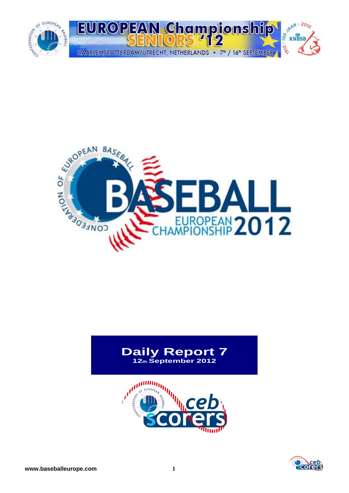



# **Daily Report 7 12th September 2012**



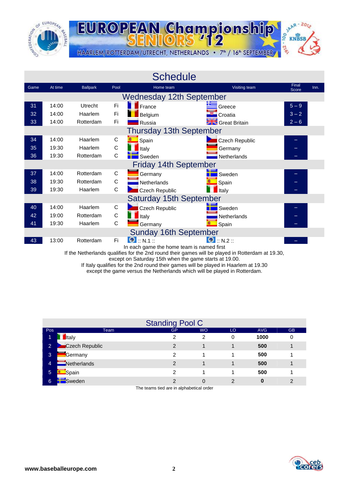



| <b>Schedule</b><br>Final<br>At time<br><b>Ballpark</b><br>Visiting team<br>Pool<br>Home team<br>Game<br>Score<br><b>Wednesday 12th September</b><br>14:00<br>Fi<br>France<br>$5 - 9$<br>Utrecht<br>31<br>Greece<br>Fi<br>$3 - 2$<br>32<br>14:00<br>Haarlem<br>Belgium<br>Croatia<br>33<br>14:00<br>Fi<br>Rotterdam<br>$2 - 6$<br>Russia<br><b>Strategie Stritain</b><br>Thursday 13th September<br>14:00<br>C<br>34<br>Haarlem<br>Spain<br>Czech Republic<br>-<br>$\mathsf C$<br>35<br>19:30<br>Haarlem<br>Italy<br>Germany<br>C<br>36<br>19:30<br>Rotterdam<br>Sweden<br>Netherlands<br><b>Friday 14th September</b><br>37<br>14:00<br>C<br>Rotterdam<br>Germany<br>Sweden<br>$\mathsf C$<br>19:30<br>Rotterdam<br>38<br>Netherlands<br>Spain<br>С<br>19:30<br>39<br>Haarlem<br><b>Czech Republic</b><br>Italy<br><b>Saturday 15th September</b><br>C<br><b>Czech Republic</b><br>40<br>14:00<br>Haarlem<br>Sweden<br>C<br>42<br>19:00<br>Rotterdam<br><b>Italy</b><br>Netherlands<br>C<br>41<br>19:30<br>Haarlem<br>Germany<br>Spain |       |           |    |                                           |                     |  |      |  |  |  |  |  |  |
|----------------------------------------------------------------------------------------------------------------------------------------------------------------------------------------------------------------------------------------------------------------------------------------------------------------------------------------------------------------------------------------------------------------------------------------------------------------------------------------------------------------------------------------------------------------------------------------------------------------------------------------------------------------------------------------------------------------------------------------------------------------------------------------------------------------------------------------------------------------------------------------------------------------------------------------------------------------------------------------------------------------------------------------|-------|-----------|----|-------------------------------------------|---------------------|--|------|--|--|--|--|--|--|
|                                                                                                                                                                                                                                                                                                                                                                                                                                                                                                                                                                                                                                                                                                                                                                                                                                                                                                                                                                                                                                        |       |           |    |                                           |                     |  | Inn. |  |  |  |  |  |  |
|                                                                                                                                                                                                                                                                                                                                                                                                                                                                                                                                                                                                                                                                                                                                                                                                                                                                                                                                                                                                                                        |       |           |    |                                           |                     |  |      |  |  |  |  |  |  |
|                                                                                                                                                                                                                                                                                                                                                                                                                                                                                                                                                                                                                                                                                                                                                                                                                                                                                                                                                                                                                                        |       |           |    |                                           |                     |  |      |  |  |  |  |  |  |
|                                                                                                                                                                                                                                                                                                                                                                                                                                                                                                                                                                                                                                                                                                                                                                                                                                                                                                                                                                                                                                        |       |           |    |                                           |                     |  |      |  |  |  |  |  |  |
|                                                                                                                                                                                                                                                                                                                                                                                                                                                                                                                                                                                                                                                                                                                                                                                                                                                                                                                                                                                                                                        |       |           |    |                                           |                     |  |      |  |  |  |  |  |  |
|                                                                                                                                                                                                                                                                                                                                                                                                                                                                                                                                                                                                                                                                                                                                                                                                                                                                                                                                                                                                                                        |       |           |    |                                           |                     |  |      |  |  |  |  |  |  |
|                                                                                                                                                                                                                                                                                                                                                                                                                                                                                                                                                                                                                                                                                                                                                                                                                                                                                                                                                                                                                                        |       |           |    |                                           |                     |  |      |  |  |  |  |  |  |
|                                                                                                                                                                                                                                                                                                                                                                                                                                                                                                                                                                                                                                                                                                                                                                                                                                                                                                                                                                                                                                        |       |           |    |                                           |                     |  |      |  |  |  |  |  |  |
|                                                                                                                                                                                                                                                                                                                                                                                                                                                                                                                                                                                                                                                                                                                                                                                                                                                                                                                                                                                                                                        |       |           |    |                                           |                     |  |      |  |  |  |  |  |  |
|                                                                                                                                                                                                                                                                                                                                                                                                                                                                                                                                                                                                                                                                                                                                                                                                                                                                                                                                                                                                                                        |       |           |    |                                           |                     |  |      |  |  |  |  |  |  |
|                                                                                                                                                                                                                                                                                                                                                                                                                                                                                                                                                                                                                                                                                                                                                                                                                                                                                                                                                                                                                                        |       |           |    |                                           |                     |  |      |  |  |  |  |  |  |
|                                                                                                                                                                                                                                                                                                                                                                                                                                                                                                                                                                                                                                                                                                                                                                                                                                                                                                                                                                                                                                        |       |           |    |                                           |                     |  |      |  |  |  |  |  |  |
|                                                                                                                                                                                                                                                                                                                                                                                                                                                                                                                                                                                                                                                                                                                                                                                                                                                                                                                                                                                                                                        |       |           |    |                                           |                     |  |      |  |  |  |  |  |  |
|                                                                                                                                                                                                                                                                                                                                                                                                                                                                                                                                                                                                                                                                                                                                                                                                                                                                                                                                                                                                                                        |       |           |    |                                           |                     |  |      |  |  |  |  |  |  |
|                                                                                                                                                                                                                                                                                                                                                                                                                                                                                                                                                                                                                                                                                                                                                                                                                                                                                                                                                                                                                                        |       |           |    |                                           |                     |  |      |  |  |  |  |  |  |
|                                                                                                                                                                                                                                                                                                                                                                                                                                                                                                                                                                                                                                                                                                                                                                                                                                                                                                                                                                                                                                        |       |           |    |                                           |                     |  |      |  |  |  |  |  |  |
|                                                                                                                                                                                                                                                                                                                                                                                                                                                                                                                                                                                                                                                                                                                                                                                                                                                                                                                                                                                                                                        |       |           |    |                                           |                     |  |      |  |  |  |  |  |  |
|                                                                                                                                                                                                                                                                                                                                                                                                                                                                                                                                                                                                                                                                                                                                                                                                                                                                                                                                                                                                                                        |       |           |    | <b>Sunday 16th September</b>              |                     |  |      |  |  |  |  |  |  |
| 43                                                                                                                                                                                                                                                                                                                                                                                                                                                                                                                                                                                                                                                                                                                                                                                                                                                                                                                                                                                                                                     | 13:00 | Rotterdam | Fi | $\bullet$ : N.1 ::                        | $\bigcirc$ : N.2 :: |  |      |  |  |  |  |  |  |
|                                                                                                                                                                                                                                                                                                                                                                                                                                                                                                                                                                                                                                                                                                                                                                                                                                                                                                                                                                                                                                        |       |           |    | In each game the home team is named first |                     |  |      |  |  |  |  |  |  |

If the Netherlands qualifies for the 2nd round their games will be played in Rotterdam at 19.30,

except on Saturday 15th when the game starts at 19.00.

If Italy qualifies for the 2nd round their games will be played in Haarlem at 19.30 except the game versus the Netherlands which will be played in Rotterdam.

| execpt the game versus the rictionality which will be played in Noticidam. |  |  |  |  |
|----------------------------------------------------------------------------|--|--|--|--|
|                                                                            |  |  |  |  |
|                                                                            |  |  |  |  |

|                |                | <b>Standing Pool C</b> |           |    |            |               |
|----------------|----------------|------------------------|-----------|----|------------|---------------|
| Pos            | Team           | <b>GP</b>              | <b>WO</b> | LO | <b>AVG</b> | <b>GB</b>     |
| ъ              | <b>I</b> taly  | າ                      | 2         | 0  | 1000       | 0             |
| $\overline{2}$ | Czech Republic | 2                      |           |    | 500        |               |
| 3              | <b>Germany</b> | 2                      |           |    | 500        |               |
| 4              | Netherlands    | 2                      |           |    | 500        |               |
| $\sqrt{5}$     | Spain          | າ                      |           |    | 500        |               |
| 6              | Sweden         | 2                      | $\Omega$  | 2  | 0          | $\mathcal{P}$ |

The teams tied are in alphabetical order

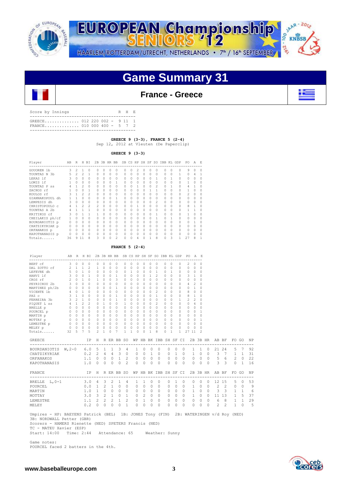



**Game Summary 31**

## **France - Greece**

| Score by Innings                                          |  |  | R H E |  |
|-----------------------------------------------------------|--|--|-------|--|
| GREECE 012 220 002 - 9 11 1<br>FRANCE 010 000 400 - 5 7 2 |  |  |       |  |
|                                                           |  |  |       |  |

 **GREECE 9 (3-3), FRANCE 5 (2-4)** 

Sep 12, 2012 at Vleuten (De Paperclip)

 **GREECE 9 (3-3)**

| Player          | AВ           | R              | Н                        | ВI             | 2B             |          | 3B HR BB |                          | SB       |          |               | CS HP SH SF   |              | SO.            | IBB KL       |   | GDP      | PO           | A | F.     |
|-----------------|--------------|----------------|--------------------------|----------------|----------------|----------|----------|--------------------------|----------|----------|---------------|---------------|--------------|----------------|--------------|---|----------|--------------|---|--------|
| GOUOREN 1b      | 3            | $\mathfrak{D}$ |                          |                | 0              | 0        | 0        | 0                        | $\Omega$ | 0        | 2             | 0             | $\Omega$     | 0              | 0            | 0 |          | 9            |   |        |
| TOUNTAS N 3b    | 5            | $\mathfrak{D}$ | $\mathfrak{D}$           | 1              | $\Omega$       | $\Omega$ | 0        | 0                        | 0        | $\Omega$ | $\mathcal{O}$ | 0             | $\Omega$     | 0              | 0            | 0 |          | 0            | 4 |        |
| LEKAS 1f        |              |                | n                        |                | 0              | 0        | 0        | 0                        |          |          | 0             | 0             | Ω            |                | n            |   | 0        | 0            | n | $\cap$ |
| LOMIS 1f        |              | U              | 0                        | $\Omega$       | <sup>0</sup>   | 0        | n        | 1                        | 0        | n        | 0             | $\Omega$      | $\Omega$     | 0              | 0            | U | 0        | 1            | n | $\cap$ |
| TOUNTAS P ss    |              |                | $\overline{\mathcal{L}}$ | $\Omega$       | <sup>0</sup>   | 0        | 0        | 0                        | $\Omega$ | n        | 1             | 0             | $\Omega$     | $\mathfrak{D}$ | $\Omega$     |   | $\Omega$ | 4            |   | $\cap$ |
| ZACHOS rf       |              | U              | 0                        |                | 0              | n        | n        | 0                        | n        | n        | 0             | 0             |              |                | 0            | U | 0        |              | n | 0      |
| KOULOS rf       |              |                | $\overline{\mathcal{L}}$ | $\mathfrak{D}$ | 0              | 0        | 0        | 0                        | $\Omega$ | n        | 0             | 0             |              | 0              | 0            | 0 | 0        | 2            | n | 0      |
| GIANNAKOPOUL dh |              |                | n                        |                | <sup>0</sup>   | n        | n        | 1                        | n        |          | 0             | 0             | $\cap$       | 0              | 0            | 0 | 0        | <sup>0</sup> |   |        |
| LEMPESIS dh     |              |                | 0                        |                | O              | 0        | n        | 0                        |          |          | 0             | 0             | $\cap$       | $\mathfrak{D}$ | $\Omega$     | 0 |          | O            |   |        |
| CHRISTOPOULO c  |              |                | 2                        | $\mathfrak{D}$ | $\mathfrak{D}$ | $\Omega$ | n        | 0                        | n        | n        |               | 0             | <sup>0</sup> | 0              | 0            | 0 | 0        | 8            |   | $\cap$ |
| TOUNTAS A 2b    | 4            |                |                          |                | O              | n        | n        | 0                        |          |          | 0             | 0             | O            |                | <sup>0</sup> | U | 0        |              |   |        |
| KRITIKOS cf     |              | U              |                          | 1              |                | n        | n        | 0                        | 0        | n        | 0             | 0             | O            |                | 0            | 0 | 0        |              |   | $\cap$ |
| CHEILAKIS ph/cf |              | U              | n                        | $\Omega$       | O              | 0        | n        | 0                        | 0        | n        | 0             | $\Omega$      | <sup>0</sup> |                | <sup>0</sup> |   | 0        | O            | n | n      |
| BOURDANIOTIS p  | <sup>0</sup> | <sup>0</sup>   | n                        | $\Omega$       | <sup>0</sup>   | 0        | 0        | 0                        | 0        | n        | 0             | $\Omega$      | <sup>0</sup> | 0              | 0            | U | 0        | <sup>0</sup> | 1 | n      |
| CHATZIKYRIAK p  |              | Ω              | 0                        | 0              | <sup>0</sup>   | 0        | 0        | 0                        | 0        |          | 0             | 0             |              | 0              | 0            | 0 | 0        | 0            |   | 0      |
| ORFANAKOS p     |              | U              | 0                        | 0              | <sup>0</sup>   | n        | 0        | 0                        | 0        |          | 0             | $\mathcal{O}$ |              | 0              | 0            | 0 | 0        | <sup>0</sup> |   | 0      |
| KAPOTHANASIS p  |              | 0              | 0                        | $\Omega$       | 0              | n        | n        | 0                        | 0        |          | 0             | 0             |              | 0              | 0            | 0 | 0        | 0            |   |        |
| Totals          | 36           | 9              | 11                       | 8              | 3              | 0        | 0        | $\overline{\mathcal{L}}$ | $\Omega$ | n        | 4             | 0             |              | 8              | 0            | 3 |          | 27           | 8 |        |

 **FRANCE 5 (2-4)**

| Player                                                                                                                                                                                                 |                                                       |                            | AB R H BI 2B 3B HR BB SB CS HP SH SF SO IBB KL GDP |              |                              |                              |                                  |                |                   |                              |                                  |                                  |                                  |              |                     |              |                         | PO A E                                |                          |          |                         |                      |              |                |                |
|--------------------------------------------------------------------------------------------------------------------------------------------------------------------------------------------------------|-------------------------------------------------------|----------------------------|----------------------------------------------------|--------------|------------------------------|------------------------------|----------------------------------|----------------|-------------------|------------------------------|----------------------------------|----------------------------------|----------------------------------|--------------|---------------------|--------------|-------------------------|---------------------------------------|--------------------------|----------|-------------------------|----------------------|--------------|----------------|----------------|
| BERT cf                                                                                                                                                                                                |                                                       | 3 0 0 0                    |                                                    | 0            | $\circ$                      | $\circ$                      | $\circ$                          | 0              | 0                 | $\circ$                      | $\circ$                          | $\circ$                          | $\circ$                          | 0            | $\circ$             | $\Omega$     |                         | $\mathbf{2}$<br>$\Omega$              | $\Omega$                 |          |                         |                      |              |                |                |
| DAL ZOTTO cf                                                                                                                                                                                           |                                                       | $2 \t1 \t1 \t2$            |                                                    | $\mathbf{1}$ | $\circ$                      | $\Omega$                     | $\Omega$                         | 0              | 0                 | $\circ$                      | $\circ$                          | $\circ$                          | $\circ$                          | $\circ$      | $\circ$             | $\circ$      |                         | $\Omega$<br>0                         | $\Omega$                 |          |                         |                      |              |                |                |
| LEFEVRE dh                                                                                                                                                                                             |                                                       | 5010                       |                                                    | $\circ$      | $\Omega$                     | $\bigcirc$                   | $\bigcirc$                       | 0              | $\mathbf{1}$      | $\circ$                      | $\circ$                          | $\circ$                          | $\overline{1}$                   | $\Omega$     | $\overline{1}$      | $\Omega$     |                         | $\sim$ 0<br>0                         | $\Omega$                 |          |                         |                      |              |                |                |
| HANVI 1f                                                                                                                                                                                               |                                                       | 3 0 0 1                    |                                                    | $\Omega$     | $\bigcirc$                   | $\bigcirc$                   | $\overline{1}$                   | $\Omega$       | $\Omega$          | $\Omega$                     | $\bigcirc$                       | $1 \quad 2$                      |                                  | $\Omega$     | $\Omega$            | $\Omega$     |                         | $\mathbf{1}$<br>3                     | $\Omega$                 |          |                         |                      |              |                |                |
| CROS rf                                                                                                                                                                                                |                                                       | $2 \t 0 \t 1 \t 0$         |                                                    |              | $1 \quad 0$                  | $\bigcirc$                   | $\overline{\mathbf{3}}$          |                | $0\quad 0$        | $\bigcirc$                   | $\bigcirc$                       | $\bigcirc$                       | $\bigcirc$                       | $\Omega$     | $\Omega$            | $\Omega$     |                         | $\Omega$<br>$\Omega$                  | $\Omega$                 |          |                         |                      |              |                |                |
| PEYRICHOU 2b                                                                                                                                                                                           |                                                       | 3 0 0 0                    |                                                    | $\circ$      | $\circ$                      | $\circ$                      | $\overline{0}$                   |                | $0\quad 0$        | $\overline{0}$               | $\overline{0}$                   | $\overline{0}$                   | $\overline{0}$                   | 0            | $\Omega$            | $\circ$      |                         | 2<br>4                                | 0                        |          |                         |                      |              |                |                |
| MARTINEZ ph/2b                                                                                                                                                                                         | $\begin{array}{cccccccc}\n0 & 0 & 0 & 0\n\end{array}$ |                            |                                                    | $\circ$      | $\circ$                      | $\bigcirc$                   | $\overline{1}$                   | $\Omega$       | $\Omega$          | $\Omega$                     | $\bigcirc$                       | $\Omega$                         | $\Omega$                         | $\Omega$     | $\Omega$            | $\Omega$     |                         | $\Omega$<br>$\mathbf{1}$              | 0                        |          |                         |                      |              |                |                |
| VICENTE 1b                                                                                                                                                                                             |                                                       | 4 0 1 0<br>$3 \t1 \t0 \t0$ |                                                    | $\circ$      | $\overline{0}$               | $\overline{0}$               | $\circ$                          |                | $0\quad 0$        | $\circ$                      | $\overline{0}$                   | $\circ$                          | $\overline{2}$                   | 0            | $\Omega$            | $\circ$      |                         | 8<br>$\circ$                          | $\Omega$                 |          |                         |                      |              |                |                |
| PAZ c                                                                                                                                                                                                  |                                                       | $3 \t2 \t1 \t0$            |                                                    |              | 0 <sub>0</sub><br>$0\quad 0$ | $\bigcirc$<br>$\overline{0}$ | $\overline{1}$<br>$\overline{1}$ |                | 0 <sub>0</sub>    | $\Omega$                     | $\bigcirc$                       | $\bigcirc$                       | $\overline{1}$<br>$\overline{0}$ | $\Omega$     | $\Omega$            | $\Omega$     |                         | 8<br>$\mathbf{1}$<br>$2^{\circ}$<br>2 | $\Omega$<br>$\Omega$     |          |                         |                      |              |                |                |
| FERREIRA 3b                                                                                                                                                                                            |                                                       |                            | 4 1 2 2 0 1 0                                      |              |                              |                              |                                  | $1 \quad 0$    | $0\quad 0$        | $\overline{0}$               | $\overline{0}$<br>$\overline{0}$ | $\overline{0}$<br>$\overline{0}$ | $\overline{2}$                   | 0<br>$\circ$ | $\circ$<br>$\Omega$ |              | $\mathbf{1}$<br>$\circ$ | $\sim$ 0<br>$\overline{a}$            | $\Omega$                 |          |                         |                      |              |                |                |
| PIQUET L ss<br>BRELLE p                                                                                                                                                                                |                                                       |                            | $0\quad 0\quad 0\quad 0$                           |              | $0\quad 0$                   | $\overline{0}$               | $\circ$<br>$\bigcirc$            |                | 0 <sub>0</sub>    | $\overline{0}$<br>$\bigcirc$ | $\bigcirc$                       | $\bigcirc$                       | $\bigcirc$                       | $\Omega$     | $\bigcirc$          |              | $\Omega$                | $\Omega$<br>$\circ$                   | $\Omega$                 |          |                         |                      |              |                |                |
| POURCEL p                                                                                                                                                                                              |                                                       |                            | $0\ 0\ 0\ 0\ 0\ 0\ 0$                              |              |                              |                              | $\overline{0}$                   |                | $0\quad 0\quad 0$ |                              | $\overline{0}$                   | $\overline{0}$                   | $\overline{0}$                   | 0            | $\Omega$            |              | $\circ$                 | 0<br>$\sim$ 0                         | $\mathbf{1}$             |          |                         |                      |              |                |                |
| MARTIN p                                                                                                                                                                                               |                                                       |                            |                                                    |              |                              |                              | $\overline{0}$                   |                | $0\quad 0$        | $\bigcirc$                   | $\circ$                          | $\overline{0}$                   | $\overline{0}$                   | $\Omega$     | $\Omega$            |              | $\circ$                 | $\circ$<br>$\sim$ 0                   | 0                        |          |                         |                      |              |                |                |
| MOTTAY p                                                                                                                                                                                               |                                                       |                            | $0\quad 0\quad 0\quad 0\quad 0\quad 0\quad 0$      |              |                              |                              | $\overline{0}$                   |                | $0\quad 0\quad 0$ |                              | $\circ$                          | $\circ$                          | $\overline{0}$                   | 0            | $\bigcirc$          |              | $\circ$                 | $\Omega$<br>$\circ$                   | $\mathbf{1}$             |          |                         |                      |              |                |                |
| LEMESTRE p                                                                                                                                                                                             |                                                       |                            | $0\ 0\ 0\ 0\ 0\ 0\ 0$                              |              |                              |                              | $\bigcirc$                       |                | $0\quad 0\quad 0$ |                              | $\bigcirc$                       | $\bigcirc$                       | $\overline{0}$                   | $\Omega$     | $\bigcirc$          | $\Omega$     |                         | $\sim$ 0<br>$\Omega$                  | $\Omega$                 |          |                         |                      |              |                |                |
| $\sim$ 0<br>MELEY p                                                                                                                                                                                    |                                                       | $0\quad 0\quad 0$          |                                                    | $0 \quad 0$  |                              | $\circ$                      | $\Omega$                         | 0              | 0                 | $\Omega$                     | $\Omega$                         | $\circ$                          | $\Omega$                         | $\Omega$     | $\Omega$            | $\Omega$     |                         | $\circ$<br>$\Omega$                   | 0                        |          |                         |                      |              |                |                |
| Totals 32 5 7 5                                                                                                                                                                                        |                                                       |                            |                                                    | 2            | 1                            | $\circ$                      | 7                                | 1.             | 1                 | $\circ$                      | $\Omega$                         | $\mathbf{1}$                     | 8                                | $\Omega$     | $\mathbf{1}$        |              | $\mathbf{1}$            | 27 11                                 | $\overline{\mathcal{L}}$ |          |                         |                      |              |                |                |
| <b>GREECE</b>                                                                                                                                                                                          |                                                       |                            | IP                                                 | H            |                              |                              | R ER BB SO                       |                |                   |                              |                                  |                                  | WP HB BK IBB SH SF CI            |              |                     |              |                         |                                       |                          | 2B 3B HR |                         | AB BF                | FO GO        |                | NP             |
| BOURDANIOTIS W, 2-0                                                                                                                                                                                    |                                                       |                            | 6.05                                               |              | 1                            | $\mathbf{1}$                 | $\overline{\mathbf{3}}$          | 4              |                   | 1                            | $\overline{0}$                   | $\circ$                          | $\Omega$                         |              | $\circ$             | $\circ$      | $\Omega$                | $\mathbf{1}$                          | $\overline{1}$           | $\Omega$ |                         | 21 24                |              | 5 7            | 92             |
| CHATZIKYRIAK                                                                                                                                                                                           |                                                       |                            | $0.2 \quad 2$                                      |              |                              |                              | $4 \t 4 \t 3 \t 0$               |                |                   | $\circ$                      |                                  | $0\quad1$                        | $\Omega$                         |              | $0\quad1$           |              |                         |                                       |                          |          | 0 1 0 0 3 7             |                      |              | $1 \quad 1$    | 31             |
| ORFANAKOS                                                                                                                                                                                              |                                                       |                            | $1.1 \quad 0$                                      |              |                              |                              | $0 \t 0 \t 1$                    | $\overline{2}$ |                   | 0                            | $\overline{0}$                   | $\circ$                          | $\Omega$                         |              | $\overline{0}$      | $\circ$      | $\Omega$                |                                       | $0\quad 0$               |          | $0 \qquad 5 \qquad 6$   |                      |              | $2 \quad 0$    | 22             |
| KAPOTHANASIS                                                                                                                                                                                           |                                                       |                            | 1.0                                                | $\Omega$     | $\Omega$                     | $\Omega$                     | $\Omega$                         | $\mathfrak{D}$ |                   | $\Omega$                     | $\Omega$                         | $\Omega$                         | $\Omega$                         |              | $\Omega$            | $\Omega$     | $\Omega$                | $\Omega$                              | $\Omega$                 | $\Omega$ | $\overline{\mathbf{3}}$ | 3                    | $\Omega$     | $\overline{1}$ | 16             |
| FRANCE                                                                                                                                                                                                 |                                                       |                            | ΙP                                                 | H            |                              |                              | R ER BB SO                       |                |                   |                              |                                  |                                  | WP HB BK IBB SH SF CI            |              |                     |              |                         |                                       |                          | 2B 3B HR |                         | AB BF                | FO GO        |                | NP             |
|                                                                                                                                                                                                        |                                                       |                            |                                                    |              |                              |                              |                                  |                |                   |                              |                                  |                                  |                                  |              |                     |              |                         |                                       |                          |          |                         | -------------------- |              |                |                |
| BRELLE L, 0-1                                                                                                                                                                                          |                                                       |                            | 3.04                                               |              | 3 <sup>7</sup>               | 2                            | 1                                | 4              |                   | 1                            | $\mathbf{1}$                     | $\circ$                          | 0                                |              | $\circ$             | 1            | $\Omega$                | 0                                     | $\circ$                  | $\Omega$ |                         | 12 15                | 5            | $\Omega$       | 53             |
| POURCEL                                                                                                                                                                                                |                                                       |                            | $0.0 \t1 \t2 \t1$                                  |              |                              |                              | $\overline{0}$                   | $\Omega$       |                   | $\Omega$                     | $\Omega$                         | $\Omega$                         | $\Omega$                         |              | $\overline{0}$      | $\Omega$     | $\Omega$                | 1                                     | $\Omega$                 | $\Omega$ | 2                       | 2                    | $\Omega$     | $\Omega$       | 9              |
| MARTIN                                                                                                                                                                                                 |                                                       |                            | $1.0 \t1 \t0$                                      |              |                              |                              | $0\quad 0$                       | $\Omega$       |                   | 0                            | $\overline{0}$                   | $\Omega$                         | $\Omega$                         |              | $\overline{0}$      | $\Omega$     | $\Omega$                |                                       | $1 \quad 0$              |          | 3<br>$\Omega$           | 3                    |              | $1 \quad 1$    | 6              |
| MOTTAY                                                                                                                                                                                                 |                                                       |                            | 3.0 3 2 1 0                                        |              |                              |                              |                                  | $\mathbf{1}$   |                   | $\circ$                      | 2                                | $\Omega$                         | $\cap$                           |              | $\overline{0}$      | $\Omega$     | $\cap$                  |                                       | $1 \quad 0$              | $\Omega$ |                         | 11 13                |              | $1\quad 5$     | 37             |
| <b>LEMESTRE</b>                                                                                                                                                                                        |                                                       |                            | $1.1 \quad 2$                                      |              | 2                            | 2                            | 1                                | $\overline{c}$ |                   | 0                            | $\mathbf{1}$                     | 0                                | $\cap$                           |              | 0                   | $\mathbf{0}$ | $\Omega$                | 0                                     | $\circ$                  | $\Omega$ | 6                       | 8                    |              | $1\quad1$      | 29             |
| MELEY                                                                                                                                                                                                  |                                                       |                            | 0.2                                                | $\Omega$     | $\Omega$                     | $\Omega$                     | $\Omega$                         | $\mathbf{1}$   |                   | $\Omega$                     | $\Omega$                         | $\Omega$                         | $\Omega$                         |              | $\Omega$            | $\Omega$     | $\Omega$                | 0                                     | $\Omega$                 | $\Omega$ | 2                       | $\mathfrak{D}$       | $\mathbf{1}$ | $\Omega$       | $\overline{5}$ |
| Umpires - HP: BAEYENS Patrick (BEL) 1B: JONES Tony (FIN) 2B: WATERINGEN v/d Roy (NED)<br>3B: NORDWALL Petter (GBR)<br>Scorers - HAMERS Rienette (NED) SPETERS Francis (NED)<br>TC - MATEU Xavier (ESP) |                                                       |                            |                                                    |              |                              |                              |                                  |                |                   |                              |                                  |                                  |                                  |              |                     |              |                         |                                       |                          |          |                         |                      |              |                |                |

Start: 14:00 Time: 2:44 Attendance: 65 Weather: Sunny

 Game notes: POURCEL faced 2 batters in the 4th.

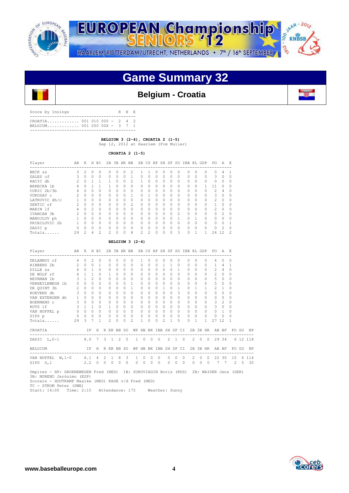



# **Game Summary 32**

## **Belgium - Croatia**

| Score by Innings                                           |  |  | R H E |  |
|------------------------------------------------------------|--|--|-------|--|
| CROATIA 001 010 000 - 2 4 2<br>BELGIUM 001 200 00X - 3 7 1 |  |  |       |  |
|                                                            |  |  |       |  |

 **BELGIUM 3 (2-4), CROATIA 2 (1-5)** 

Sep 12, 2012 at Haarlem (Pim Mulier)

 **CROATIA 2 (1-5)**

| Player        | AB            | R                                                                                                                                                                                                                                                                                                                                                                                                                                                   | Н        | ΒI | 2B       | 3B       | HR BB    |                                                                                                                                                                                                                                                                                                                                                                                                                            | <b>SB</b> | CS       | HP       |          | SH SF        | <b>SO</b>     | IBB KL GDP         |          |   | PO.            | A                                                                                                                                                                                                                                                                                                                                                                                                                          | E,             |
|---------------|---------------|-----------------------------------------------------------------------------------------------------------------------------------------------------------------------------------------------------------------------------------------------------------------------------------------------------------------------------------------------------------------------------------------------------------------------------------------------------|----------|----|----------|----------|----------|----------------------------------------------------------------------------------------------------------------------------------------------------------------------------------------------------------------------------------------------------------------------------------------------------------------------------------------------------------------------------------------------------------------------------|-----------|----------|----------|----------|--------------|---------------|--------------------|----------|---|----------------|----------------------------------------------------------------------------------------------------------------------------------------------------------------------------------------------------------------------------------------------------------------------------------------------------------------------------------------------------------------------------------------------------------------------------|----------------|
| BECK ss       | 3             | $\mathfrak{D}_{\mathfrak{D}}^{\mathfrak{D}}(\mathfrak{D})=\mathfrak{D}_{\mathfrak{D}}^{\mathfrak{D}}(\mathfrak{D})=\mathfrak{D}_{\mathfrak{D}}^{\mathfrak{D}}(\mathfrak{D})=\mathfrak{D}_{\mathfrak{D}}^{\mathfrak{D}}(\mathfrak{D})=\mathfrak{D}_{\mathfrak{D}}^{\mathfrak{D}}(\mathfrak{D})=\mathfrak{D}_{\mathfrak{D}}^{\mathfrak{D}}(\mathfrak{D})=\mathfrak{D}_{\mathfrak{D}}^{\mathfrak{D}}(\mathfrak{D})=\mathfrak{D}_{\mathfrak{D}}^{\math$ | $\Omega$ | 0  | 0        | U        | 0        | $\mathfrak{D}$                                                                                                                                                                                                                                                                                                                                                                                                             |           |          |          | O        | <sup>0</sup> | ∩             | -------------<br>0 | 0        | 0 | $\Omega$       | 4                                                                                                                                                                                                                                                                                                                                                                                                                          |                |
| GALES cf      |               | $\Omega$                                                                                                                                                                                                                                                                                                                                                                                                                                            | $\Omega$ | 0  | 0        | $\Omega$ | 0        |                                                                                                                                                                                                                                                                                                                                                                                                                            | 0         | $\Omega$ | $\Omega$ | 0        | $\Omega$     | $\Omega$      | $\Omega$           | $\Omega$ | 0 | 3              | O                                                                                                                                                                                                                                                                                                                                                                                                                          | 0              |
| RACIC dh      | $\mathcal{L}$ | $\Omega$                                                                                                                                                                                                                                                                                                                                                                                                                                            |          |    |          | 0        | $\Omega$ | 2                                                                                                                                                                                                                                                                                                                                                                                                                          |           | 0        | $\Omega$ | 0        | 0            | $\Omega$      | 0                  | $\Omega$ | 0 | 0              | 0                                                                                                                                                                                                                                                                                                                                                                                                                          | 0              |
| BERECKA 1b    | 4             | $\Omega$                                                                                                                                                                                                                                                                                                                                                                                                                                            |          |    | 1        | $\Omega$ | $\Omega$ | $\Omega$                                                                                                                                                                                                                                                                                                                                                                                                                   | 0         | $\Omega$ | $\Omega$ | $\Omega$ | $\Omega$     | <sup>0</sup>  | 0                  | $\Omega$ |   | 11             | O                                                                                                                                                                                                                                                                                                                                                                                                                          | $\Omega$       |
| CURIC 2b/3b   | 4             | $\Omega$                                                                                                                                                                                                                                                                                                                                                                                                                                            | 0        | 0  | 0        | $\Omega$ | $\Omega$ | $\Omega$                                                                                                                                                                                                                                                                                                                                                                                                                   | 0         | $\Omega$ | O        | $\Omega$ | $\Omega$     | ∩             | $\Omega$           | $\Omega$ | Ω | $\mathcal{D}$  | 4                                                                                                                                                                                                                                                                                                                                                                                                                          | 0              |
| VUKOSAV c     | 2             | $\Omega$                                                                                                                                                                                                                                                                                                                                                                                                                                            | $\Omega$ | 0  | 0        | 0        | $\Omega$ |                                                                                                                                                                                                                                                                                                                                                                                                                            | U         |          |          | 0        | $\Omega$     | $\cap$        | 0                  | $\Omega$ | 0 | 3              | O                                                                                                                                                                                                                                                                                                                                                                                                                          | 0              |
| LATKOVIC dh/c |               | $\Omega$                                                                                                                                                                                                                                                                                                                                                                                                                                            | 0        | 0  | 0        | 0        | 0        | 0                                                                                                                                                                                                                                                                                                                                                                                                                          | $\Omega$  | $\Omega$ | $\Omega$ | $\Omega$ | $\Omega$     |               | $\Omega$           | 0        | 0 | $\mathfrak{D}$ | O                                                                                                                                                                                                                                                                                                                                                                                                                          | 0              |
| SERTIC rf     |               | $\Omega$                                                                                                                                                                                                                                                                                                                                                                                                                                            | 0        | 0  | 0        | 0        | $\Omega$ | $\mathfrak{D}_{1}^{2}(\mathfrak{D}_{1})=\mathfrak{D}_{2}^{2}(\mathfrak{D}_{2})=\mathfrak{D}_{2}^{2}(\mathfrak{D}_{1})=\mathfrak{D}_{2}^{2}(\mathfrak{D}_{2})=\mathfrak{D}_{2}^{2}(\mathfrak{D}_{1})=\mathfrak{D}_{2}^{2}(\mathfrak{D}_{2})=\mathfrak{D}_{2}^{2}(\mathfrak{D}_{1})=\mathfrak{D}_{2}^{2}(\mathfrak{D}_{1})=\mathfrak{D}_{2}^{2}(\mathfrak{D}_{1})=\mathfrak{D}_{2}^{2}(\mathfrak{D}_{2})=\mathfrak{D}_{2}^{$ | $\Omega$  | $\Omega$ | $\Omega$ | $\Omega$ | $\Omega$     | <sup>0</sup>  | $\Omega$           | $\Omega$ | 0 |                | 0                                                                                                                                                                                                                                                                                                                                                                                                                          | 0              |
| MARIN 1f      | 4             | $\Omega$                                                                                                                                                                                                                                                                                                                                                                                                                                            | 2        | 0  | $\Omega$ | $\Omega$ | $\Omega$ | $\Omega$                                                                                                                                                                                                                                                                                                                                                                                                                   | 0         | $\Omega$ | $\cap$   | $\Omega$ | $\Omega$     | $\cap$        | 0                  | $\Omega$ | 0 | $\mathfrak{D}$ | $\Omega$                                                                                                                                                                                                                                                                                                                                                                                                                   | $\Omega$       |
| IVANCAN 3b    | 2             | $\Omega$                                                                                                                                                                                                                                                                                                                                                                                                                                            | $\Omega$ | O  | 0        | $\Omega$ | $\Omega$ | $\Omega$                                                                                                                                                                                                                                                                                                                                                                                                                   | $\Omega$  | $\Omega$ | O        | $\cap$   | $\Omega$     | $\mathcal{P}$ | $\cap$             | $\Omega$ | 0 | $\Omega$       | $\mathfrak{D}_{1}^{2}(\mathfrak{D}_{1})=\mathfrak{D}_{2}^{2}(\mathfrak{D}_{2})=\mathfrak{D}_{2}^{2}(\mathfrak{D}_{1})=\mathfrak{D}_{2}^{2}(\mathfrak{D}_{2})=\mathfrak{D}_{2}^{2}(\mathfrak{D}_{1})=\mathfrak{D}_{2}^{2}(\mathfrak{D}_{1})=\mathfrak{D}_{2}^{2}(\mathfrak{D}_{1})=\mathfrak{D}_{2}^{2}(\mathfrak{D}_{1})=\mathfrak{D}_{2}^{2}(\mathfrak{D}_{1})=\mathfrak{D}_{2}^{2}(\mathfrak{D}_{1})=\mathfrak{D}_{2}^{$ | $\Omega$       |
| MANOJLOV ph   |               | $\Omega$                                                                                                                                                                                                                                                                                                                                                                                                                                            | $\Omega$ | 0  | 0        | 0        | $\Omega$ | 0                                                                                                                                                                                                                                                                                                                                                                                                                          | $\Omega$  | $\Omega$ |          | 0        | O            |               | U                  |          | 0 | $\Omega$       | $\cap$                                                                                                                                                                                                                                                                                                                                                                                                                     | 0              |
| PRIBILOVIC 2b |               | $\Omega$                                                                                                                                                                                                                                                                                                                                                                                                                                            | 0        | 0  | 0        | $\Omega$ | $\Omega$ | $\Omega$                                                                                                                                                                                                                                                                                                                                                                                                                   | $\Omega$  | $\Omega$ | $\Omega$ | $\Omega$ | $\Omega$     | <sup>0</sup>  | 0                  | 0        | 0 | $\Omega$       | O                                                                                                                                                                                                                                                                                                                                                                                                                          |                |
| DADIC p       | 0             | $\Omega$                                                                                                                                                                                                                                                                                                                                                                                                                                            | $\circ$  | 0  | 0        | $\Omega$ | $\Omega$ | 0                                                                                                                                                                                                                                                                                                                                                                                                                          | $\Omega$  | $\Omega$ | $\Omega$ | $\Omega$ | $\Omega$     | $\cap$        | $\Omega$           | $\Omega$ | 0 | $\Omega$       | 2                                                                                                                                                                                                                                                                                                                                                                                                                          | $\Omega$       |
| $Totals$      | 29            | 2                                                                                                                                                                                                                                                                                                                                                                                                                                                   | 4        | 2  | 2        | U        | U        | 8                                                                                                                                                                                                                                                                                                                                                                                                                          | 2.        | 2        | $\cap$   | U        | $\Omega$     | ٩             | U                  | 1        | 1 | 2.4            | 12                                                                                                                                                                                                                                                                                                                                                                                                                         | $\mathfrak{D}$ |

#### **BELGIUM 3 (2-4)**

| Player AB R H BI                                                                                                                                                                                                                                                                                                                                                                                                                             |                                                  |           |             |             |                |            |                     | 2B 3B HR BB SB CS HP SH SF SO IBB KL GDP |              |                                     |                                             |                |          |                |                     |                |                |                | PO.                   | <b>A</b>    |                                                               |          |
|----------------------------------------------------------------------------------------------------------------------------------------------------------------------------------------------------------------------------------------------------------------------------------------------------------------------------------------------------------------------------------------------------------------------------------------------|--------------------------------------------------|-----------|-------------|-------------|----------------|------------|---------------------|------------------------------------------|--------------|-------------------------------------|---------------------------------------------|----------------|----------|----------------|---------------------|----------------|----------------|----------------|-----------------------|-------------|---------------------------------------------------------------|----------|
| DELANNOY cf 4 0                                                                                                                                                                                                                                                                                                                                                                                                                              |                                                  |           | $2^{\circ}$ | $\Omega$    | $\Omega$       | $\bigcap$  | $\Omega$            | $\Omega$                                 | $\mathbf{1}$ | $\Omega$                            | $\Omega$                                    | $\Omega$       | $\Omega$ |                | $\cap$              | $\bigcap$      | $\cap$         | $\cap$         | $\overline{4}$        | $\Omega$    | $\Omega$                                                      |          |
| RIBBENS 2b 2 0 0 1 0 0 0 0                                                                                                                                                                                                                                                                                                                                                                                                                   |                                                  |           |             |             |                |            |                     |                                          |              |                                     |                                             |                |          |                |                     |                |                |                | 0 0 0 1 1 0 0 0 0 1 4 |             | $\mathbf{1}$                                                  |          |
| DILLE SS                                                                                                                                                                                                                                                                                                                                                                                                                                     |                                                  | 4 0 1 0   |             |             | $\circ$        |            | $0\quad 0\quad 0$   |                                          | $\circ$      | $\overline{0}$                      | $\circ$                                     |                |          |                | $0 \quad 0 \quad 1$ | $\Omega$       |                | $0\qquad 0$    |                       | 2 4         | 0                                                             |          |
| DE WOLF rf                                                                                                                                                                                                                                                                                                                                                                                                                                   |                                                  | 4 1 1 0 1 |             |             |                |            | $0 \quad 0 \quad 0$ |                                          | $\Omega$     | $\Omega$                            | $\Omega$                                    |                | $\Omega$ |                | $0 \quad 0$         | $\Omega$       | $\cap$         | $\Omega$       | $2 \quad 0$           |             | $\Omega$                                                      |          |
| 3 1 2 0 0 0 0 0<br>HEYRMAN 1b                                                                                                                                                                                                                                                                                                                                                                                                                |                                                  |           |             |             |                |            |                     |                                          |              | $0 \quad 0$                         | $\Omega$                                    | $\cap$         |          |                | $0 \quad 0$         |                | 0 <sub>0</sub> | $\Omega$       |                       | $5 \quad 0$ | $\Omega$                                                      |          |
| VERHEYLEWEGH 1b 0 0                                                                                                                                                                                                                                                                                                                                                                                                                          |                                                  |           |             | $0 \quad 0$ | $\Omega$       | $\cap$     | $0 \quad 1$         |                                          | $\Omega$     | $\cap$                              | $\Omega$                                    | $\cap$         |          | $\cap$         | $\bigcap$           | $\bigcap$      | $\cap$         | $\Omega$       | $5 -$                 | $\Omega$    | $\Omega$                                                      |          |
| DE QUINT 3b 2 0 0 0                                                                                                                                                                                                                                                                                                                                                                                                                          |                                                  |           |             |             |                | 0 0 0 1    |                     |                                          | $\Omega$     | $\begin{matrix} 0 & 0 \end{matrix}$ |                                             |                |          |                | 1 0 1               | $\Omega$       | $\overline{1}$ | $\overline{1}$ | $2 \quad 1$           |             | $\Omega$                                                      |          |
| ROEVENS dh 3 0 0 0                                                                                                                                                                                                                                                                                                                                                                                                                           |                                                  |           |             |             | $\Omega$       |            | $0 \quad 0 \quad 0$ |                                          | $\Omega$     | $\cap$                              | $\circ$                                     | $\Omega$       |          |                | $0 \quad 3$         | $\Omega$       | $\cap$         | $\Omega$       | $0 \quad 0$           |             | $\Omega$                                                      |          |
|                                                                                                                                                                                                                                                                                                                                                                                                                                              |                                                  |           |             |             |                | $\cap$     | $\cap$              | $\Omega$                                 | $\Omega$     | $\cap$                              | $\Omega$                                    | $\cap$         |          | $\cap$         | $\cap$              | $\bigcap$      | $\Omega$       | $\Omega$       | $\cap$                | $\Omega$    | $\Omega$                                                      |          |
|                                                                                                                                                                                                                                                                                                                                                                                                                                              |                                                  |           |             |             |                | $\bigcirc$ | $\cap$ $\cap$       |                                          | $\Omega$     | $\cap$                              | $\Omega$                                    | $\cap$         |          | $\cap$         | $\cap$              |                | 0 <sub>0</sub> | $\Omega$       |                       | $3 \quad 2$ | $\Omega$                                                      |          |
|                                                                                                                                                                                                                                                                                                                                                                                                                                              |                                                  |           |             |             |                | $\Omega$   | $\cap$              | $\Omega$                                 | $\Omega$     | $\cap$                              | $\Omega$                                    | $\cap$         |          | $\cap$         | $\cap$              | $\bigcap$      | $\cap$         | $\Omega$       | $\mathcal{B}$         | $\Omega$    | $\Omega$                                                      |          |
| $\begin{array}{cccccccccccccc} \mathtt{VAN} & \mathtt{NUFFEL} & \mathtt{p} & \mathtt{0} & \mathtt{0} & \mathtt{0} & \mathtt{0} & \mathtt{0} & \mathtt{0} & \mathtt{0} & \mathtt{0} \\ \mathtt{SIPS} & \mathtt{p} & & & \mathtt{0} & \mathtt{0} & \mathtt{0} & \mathtt{0} & \mathtt{0} & \mathtt{0} & \mathtt{0} & \mathtt{0} \\ \mathtt{SIPS} & \mathtt{p} & & & \mathtt{0} & \mathtt{0} & \mathtt{0} & \mathtt{0} & \mathtt{0} & \mathtt{0$ |                                                  |           |             |             |                |            |                     |                                          |              |                                     |                                             |                |          |                |                     |                |                |                | 0 0 0 0 0 0 0 0 0 1   |             | $\Omega$                                                      |          |
|                                                                                                                                                                                                                                                                                                                                                                                                                                              |                                                  |           |             |             |                |            |                     |                                          |              |                                     | $0\quad 0\quad 0\quad 0\quad 0\quad 0\quad$ |                |          |                |                     |                | $0\quad 0$     | 0              | $0\quad 0$            |             | $\Omega$                                                      |          |
| Totals 29 3 7 1                                                                                                                                                                                                                                                                                                                                                                                                                              |                                                  |           |             |             | $\overline{2}$ | $\Omega$   | $\cap$              | $\mathfrak{D}$                           | $\mathbf{1}$ | $\cap$                              | $\Omega$                                    | $\mathfrak{D}$ |          | $\mathbf{1}$   | 5.                  | $\bigcap$      | $\mathbf{1}$   | $\mathbf{1}$   | 27, 12                |             |                                                               |          |
| CROATIA                                                                                                                                                                                                                                                                                                                                                                                                                                      |                                                  |           |             |             |                |            |                     |                                          |              |                                     |                                             |                |          |                |                     |                |                |                |                       |             | IP H R ER BB SO WP HB BK IBB SH SF CI 2B 3B HR AB BF FO GO NP |          |
| DADIC L.O-1                                                                                                                                                                                                                                                                                                                                                                                                                                  | 8.0 7 3 1 2 5 1 0 0 0 2 1 0 2 0 0 29 34 6 12 118 |           |             |             |                |            |                     |                                          |              |                                     |                                             |                |          |                |                     |                |                |                |                       |             |                                                               |          |
| BELGIUM                                                                                                                                                                                                                                                                                                                                                                                                                                      |                                                  |           |             |             |                |            |                     |                                          |              |                                     |                                             |                |          |                |                     |                |                |                |                       |             | IP H R ER BB SO WP HB BK IBB SH SF CI 2B 3B HR AB BF FO GO NP |          |
| VAN NUFFEL W, 1-0 6.1 4 2 1 8 3                                                                                                                                                                                                                                                                                                                                                                                                              |                                                  |           |             |             |                |            |                     |                                          | 1 0 0 0      |                                     |                                             |                |          | 0 <sub>0</sub> |                     | $\overline{0}$ |                |                | 2 0 0 22 30           |             |                                                               | 10 4 114 |
| SIPS S, 1                                                                                                                                                                                                                                                                                                                                                                                                                                    |                                                  |           |             |             |                |            |                     |                                          |              |                                     |                                             |                |          |                |                     |                |                |                |                       |             | 2.2 0 0 0 0 0 0 0 0 0 0 0 0 0 0 0 7 7 2 5 30                  |          |
| Headcook the croperment model (MBD) for curowing the sade (puc) for warpen teach (CBD)                                                                                                                                                                                                                                                                                                                                                       |                                                  |           |             |             |                |            |                     |                                          |              |                                     |                                             |                |          |                |                     |                |                |                |                       |             |                                                               |          |

UM Fred (NED) 1B: SUROVIAGIN Boris (RUS) 2B: WAIDER Jens (GER) 3B: MORENO Jerónimo (ESP) Scorers - HOUTKAMP Maaike (NED) KADE v/d Fred (NED) TC - STROM Peter (SWE) Start: 14:00 Time: 2:15 Attendance: 175 Weather: Sunny

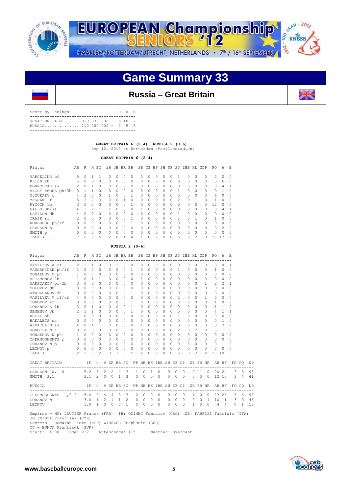



# **Game Summary 33**

## **Russia – Great Britain**

| Score by Innings                                                 |  |  | R H E |  |
|------------------------------------------------------------------|--|--|-------|--|
| GREAT BRITAIN 010 030 200 - 6 10 2<br>RUSSIA 110 000 000 - 2 5 3 |  |  |       |  |
|                                                                  |  |  |       |  |

 **GREAT BRITAIN 6 (2-4), RUSSIA 2 (0-6)**  Sep 12, 2012 at Rotterdam (Familiestadion)

 **GREAT BRITAIN 6 (2-4)**

| Player            | AВ | R              | H        | BI       |          |          | 2B 3B HR BB |          |           |          | SB CS HP SH SF |           |          | SO.      | IBB KL    |                | GDP      | PO.            | A             | E.            |
|-------------------|----|----------------|----------|----------|----------|----------|-------------|----------|-----------|----------|----------------|-----------|----------|----------|-----------|----------------|----------|----------------|---------------|---------------|
| MARCELINO cf      | 5. | 0              |          |          | O.       | 0        | 0           | $\Omega$ | $^{(1)}$  | 0        | Ω              |           | 0        |          | $\Omega$  | 0              |          | $\mathfrak{D}$ | 0             | $\Omega$      |
| KLIJN 2b          | 5  | $\Omega$       | $\Omega$ | $\Omega$ | $\Omega$ | $\Omega$ | $\Omega$    | $\Omega$ | $\Omega$  | $\Omega$ | $\Omega$       | $\Omega$  | $\Omega$ | $\Omega$ | $\Omega$  | $\Omega$       |          | 5              | 6             | $\Omega$      |
| HORNOSTAJ ss      |    | $\Omega$       |          | $\Omega$ | $\Omega$ | 0        | $\Omega$    | $\Omega$ | $\Omega$  | $\Omega$ | $\Omega$       | $\Omega$  | 0        | $\Omega$ | $\Omega$  | $\Omega$       |          | $\Omega$       | 4             |               |
| AZCUY PEREZ ph/3b | 3  |                |          | $\cap$   | $\Omega$ | $\Omega$ | 0           | $\Omega$ | $\bigcap$ | $\Omega$ | $\Omega$       | $\bigcap$ | 0        |          | $\Omega$  | $\Omega$       |          | $\cap$         |               | $\Omega$      |
| MCOUEARY C        | 4  | $\mathfrak{D}$ | 3        | $\Omega$ |          | $\Omega$ | $\cap$      |          | $\bigcap$ | $\Omega$ | $\Omega$       | $\bigcap$ | $\cap$   | $\cap$   | $\Omega$  | $\Omega$       | $\Omega$ | 6              | O             | $\bigcap$     |
| McGRAW lf         | 5  | $\mathfrak{D}$ | 2        | 3        | 0        | 0        |             | $\Omega$ | $\Omega$  | $\Omega$ | $\Omega$       | $\Omega$  | 0        | 2        | $\Omega$  |                |          |                | 0             | $\Omega$      |
| PYCOCK 1b         |    | $\Omega$       | U        | $\Omega$ | $\Omega$ | $\Omega$ | 0           |          | $\bigcap$ | $\Omega$ | $\Omega$       | $\bigcap$ | 0        | $\cap$   | $\cap$    | $\Omega$       | O.       | 12             | 0             | $\Omega$      |
| FALLS 3b/ss       | 4  |                | っ        |          |          | $\cap$   | O           | $\Omega$ |           | $\Omega$ | $\Omega$       | $\bigcap$ | O        | $\cap$   | $\Omega$  | $\Omega$       |          | $\cap$         | 4             |               |
| DAVISON dh        |    | 0              | $\Omega$ | $\Omega$ | $\Omega$ | $\Omega$ | $\Omega$    | $\Omega$ | $\bigcap$ | $\Omega$ | O              | $\cap$    | U        |          | $\Omega$  | $\Omega$       |          | U              | $\cap$        | $\Omega$      |
| TRASK rf          | 2  | $\Omega$       | U        | $\Omega$ | $\Omega$ | $\cap$   | $\cap$      |          | $\bigcap$ | $\Omega$ | $\Omega$       | $\bigcap$ | U        |          | $\bigcap$ |                | $\cap$   |                | O             | $\Omega$      |
| ROXBURGH ph/rf    |    | $\Omega$       | $\Omega$ | $\Omega$ | $\Omega$ | $\cap$   | O           |          | $\bigcap$ | $\Omega$ | O              | $\bigcap$ | O        | $\cap$   | $\Omega$  | $\Omega$       |          | $\cap$         | U             | $\bigcap$     |
| PEARSON p         |    | $\Omega$       | 0        | $\Omega$ | $\Omega$ | $\cap$   | 0           | $\Omega$ | $\bigcap$ | $\Omega$ | $\Omega$       | $\bigcap$ | 0        | $\Omega$ | $\Omega$  | $\Omega$       | $\Omega$ | O.             | $\mathcal{P}$ | $\Omega$      |
| SMITH p           | 0  | $\Omega$       | U        | $\Omega$ | $\Omega$ | $\cap$   | 0           | $\Omega$ | $\bigcap$ | $\Omega$ | $\Omega$       | $\bigcap$ | U        | $\cap$   | $\cap$    | $\Omega$       | $\cap$   | U              | O             | $\bigcap$     |
| Totals            | 37 | 6              | 10       | 5        | 2        | O        | 1           | 4        |           | $\Omega$ | O              | $\Omega$  | 0        | 6        | $\Omega$  | $\mathfrak{D}$ |          | 27             |               | $\mathcal{P}$ |

 **RUSSIA 2 (0-6)**

| Player                                                                                                                                                                                                       | AB           | R H BI              |              |                |                                 |                |                     |              | 2B 3B HR BB SB CS HP SH SF SO IBB KL GDP             |                      |          |              |           |            |              |                |           |                           |              |                     | PO A E         |                |                                     |                                |    |
|--------------------------------------------------------------------------------------------------------------------------------------------------------------------------------------------------------------|--------------|---------------------|--------------|----------------|---------------------------------|----------------|---------------------|--------------|------------------------------------------------------|----------------------|----------|--------------|-----------|------------|--------------|----------------|-----------|---------------------------|--------------|---------------------|----------------|----------------|-------------------------------------|--------------------------------|----|
| VASILYEV A cf                                                                                                                                                                                                |              | $2 \quad 1$         | $\mathbf{1}$ | $\Omega$       |                                 | $\Omega$       | 1                   | $\Omega$     | $\circ$                                              | $\Omega$             | $\Omega$ | $\Omega$     | $\Omega$  | 0          |              | $\Omega$       | $\Omega$  | $\Omega$                  |              | 0                   | $\Omega$       | $\Omega$       | 1                                   |                                |    |
| VASHAKIDZE ph/lf                                                                                                                                                                                             | $1 \quad 0$  |                     | $\Omega$     | $\Omega$       |                                 | 0              | $\Omega$            | $\Omega$     | $\mathbf{1}$                                         | $\Omega$             | $\Omega$ | $\Omega$     | $\Omega$  | $\Omega$   | $\mathbf{1}$ |                | 0         | $\Omega$                  |              | 0                   | $\mathbf{1}$   | $\Omega$       | $\Omega$                            |                                |    |
| MONAKHOV M ph                                                                                                                                                                                                |              | $1 \quad 0 \quad 0$ |              | $\circ$        |                                 | $\circ$        | $\Omega$            | $\circ$      | $\Omega$                                             | $\Omega$             | $\Omega$ | $\Omega$     | $\Omega$  | $\Omega$   | $\Omega$     |                | $\Omega$  | $\Omega$                  |              | 0                   | $\Omega$       | $\Omega$       | $\Omega$                            |                                |    |
| ARTAMONOV 2b                                                                                                                                                                                                 |              | $1 \quad 0 \quad 1$ |              | $\overline{1}$ |                                 | $\circ$        | $\Omega$            | $\Omega$     | $\Omega$                                             | $\mathbf{1}$         | $\Omega$ | $\Omega$     | $\Omega$  | $\Omega$   |              | $\Omega$       | $\Omega$  | $\Omega$                  |              | 0                   | $\circ$        | $\bigcirc$     | $\Omega$                            |                                |    |
| MAKSIAKOV pr/2b 3 0                                                                                                                                                                                          |              |                     | $\Omega$     | $\Omega$       |                                 | $\Omega$       | $\Omega$            | $\circ$      | $\Omega$                                             | $\Omega$             | $\Omega$ | $\Omega$     | $\Omega$  | $\Omega$   |              | $\Omega$       | 0         | $\Omega$                  |              | $\mathbf{1}$        | 2              | 2              | $\mathbf{1}$                        |                                |    |
| SOLOVEV dh                                                                                                                                                                                                   |              | 300                 |              | $\Omega$       |                                 | $\Omega$       | $\Omega$            | $\Omega$     | $\Omega$                                             | $\Omega$             | $\Omega$ | $\Omega$     | $\Omega$  | $\Omega$   |              | $\Omega$       | $\Omega$  | $\Omega$                  |              | $\Omega$            | $\Omega$       | $\Omega$       | $\Omega$                            |                                |    |
| ATADZHANOV dh                                                                                                                                                                                                |              | $0\quad 0$          | $\Omega$     | $\Omega$       |                                 | $\circ$        | $\Omega$            | $\Omega$     | $\mathbf{1}$                                         | $\Omega$             | $\Omega$ | $\Omega$     | $\cap$    | $\Omega$   |              | $\Omega$       | $\Omega$  | $\Omega$                  |              | $\Omega$            | $\Omega$       | $\Omega$       | $\Omega$                            |                                |    |
| VASILYEV V lf/cf 4 0                                                                                                                                                                                         |              |                     | $\Omega$     | $\Omega$       |                                 | $\circ$        | $\Omega$            | $\Omega$     | $\Omega$                                             | $\Omega$             | $\Omega$ | $\Omega$     | $\cap$    | $\Omega$   |              | $\overline{2}$ | $\Omega$  | $\Omega$                  |              | $\mathbf{1}$        | $\circ$        | $\Omega$       | $\Omega$                            |                                |    |
| TOROPOV rf                                                                                                                                                                                                   | 3            | $\bigcirc$          | $\Omega$     | $\Omega$       |                                 | $\Omega$       | $\Omega$            | $\Omega$     | $\mathbf{1}$                                         | $\Omega$             | $\Omega$ | $\Omega$     | $\Omega$  | $\Omega$   |              | $\Omega$       | $\Omega$  | $\Omega$                  |              | $\Omega$            | $\overline{1}$ | $\Omega$       | $\Omega$                            |                                |    |
| LOBANOV A 1b                                                                                                                                                                                                 |              | $3 \quad 0$         | $\mathbf{1}$ | $\Omega$       |                                 | $\Omega$       | $\Omega$            | $\Omega$     | $\mathbf{1}$                                         | $\Omega$             | $\Omega$ | $\Omega$     | $\Omega$  | $\Omega$   |              | $\Omega$       | $\Omega$  | $\Omega$                  |              | $\Omega$            | 11             | $\overline{1}$ | $\Omega$                            |                                |    |
| SEMENOV 3b                                                                                                                                                                                                   | $2 \quad 1$  |                     | $\mathbf{1}$ | $\Omega$       |                                 | $\Omega$       | $\Omega$            | $\Omega$     | $\mathbf{1}$                                         | $\Omega$             | $\Omega$ | $\Omega$     | $\Omega$  | $\Omega$   |              | $\Omega$       | $\Omega$  | $\Omega$                  |              | $\Omega$            | $\overline{4}$ | $\overline{1}$ | $\mathbf{1}$                        |                                |    |
| KULIK ph                                                                                                                                                                                                     | 1            | $\Omega$            | $\cap$       | $\Omega$       |                                 | $\Omega$       | $\Omega$            | $\Omega$     | $\Omega$                                             | $\Omega$             | $\Omega$ | $\Omega$     | $\bigcap$ | $\Omega$   |              | $\mathbf{1}$   | $\Omega$  | $\Omega$                  |              | $\Omega$            | $\Omega$       | $\bigcirc$     | $\Omega$                            |                                |    |
| BAKALETS SS                                                                                                                                                                                                  |              | $0 \quad 0$         | $\Omega$     | $\Omega$       |                                 | $\Omega$       | $\Omega$            | $\Omega$     | $\Omega$                                             | $\Omega$             | $\Omega$ | $\Omega$     | $\cap$    | $\Omega$   |              | $\bigcap$      | $\Omega$  | $\Omega$                  |              | $\Omega$            | $0 \quad 1$    |                | $\Omega$                            |                                |    |
| AYZATULIN ss                                                                                                                                                                                                 |              | 401                 |              | $\overline{1}$ |                                 | $\Omega$       | $\Omega$            | $\Omega$     | $\Omega$                                             | 1                    | $\Omega$ | $\Omega$     | $\Omega$  | $\Omega$   |              | $\Omega$       | $\Omega$  | $\Omega$                  |              | $\Omega$            | $\mathbf{3}$   | $\mathbf{3}$   | $\Omega$                            |                                |    |
| VOROTILIN C                                                                                                                                                                                                  | $\mathbf{3}$ | $\cap$              | $\Omega$     | $\Omega$       |                                 | $\Omega$       | $\bigcap$           | $\Omega$     | $\Omega$                                             | $\Omega$             | $\Omega$ | $\Omega$     | $\bigcap$ | $\Omega$   |              | $\overline{2}$ | $\Omega$  | $\overline{c}$            |              | $\Omega$            | 5 <sub>1</sub> |                | $\Omega$                            |                                |    |
| MONAKHOV N ph 1 0 0                                                                                                                                                                                          |              |                     |              |                | $\Omega$                        | $\Omega$       | $\Omega$            | $\Omega$     | $\Omega$                                             | $\Omega$             | $\Omega$ | $\Omega$     | $\Omega$  | $\Omega$   |              | $\bigcap$      | $\Omega$  | $\Omega$                  |              | $\Omega$            | $0 \quad 0$    |                | $\Omega$                            |                                |    |
|                                                                                                                                                                                                              |              |                     |              |                | $0\qquad 0$                     |                | $\Omega$            | $\Omega$     | $\Omega$                                             | $\Omega$             | $\Omega$ | $\Omega$     | $\Omega$  | $\bigcirc$ |              | $\cap$         | $\Omega$  | $\Omega$                  |              | $\Omega$            | $0 \quad 0$    |                | $\Omega$                            |                                |    |
|                                                                                                                                                                                                              |              |                     |              |                | $\begin{matrix}0&0\end{matrix}$ |                | $\bigcirc$          | $\Omega$     | $\Omega$                                             | $\Omega$             | $\Omega$ | $\Omega$     | $\Omega$  | $\bigcirc$ |              | $\Omega$       | $\Omega$  | $\Omega$                  |              | $\Omega$            | $\Omega$       | $\overline{1}$ | $\Omega$                            |                                |    |
| LEONOV p                                                                                                                                                                                                     |              | $0\quad 0\quad 0$   |              | $\Omega$       |                                 | 0              | $\circ$             | $\Omega$     | $\Omega$                                             | 0                    | $\Omega$ | $\Omega$     | $\Omega$  | $\Omega$   |              | $\bigcap$      | $\bigcap$ | $\Omega$                  |              | $\Omega$            | 0              | 0              | $\Omega$                            |                                |    |
| Totals                                                                                                                                                                                                       | 32           | 2 <sup>1</sup>      | 5            | $\overline{c}$ |                                 | $\Omega$       | 1                   | $\Omega$     | 5                                                    | $\overline{2}$       | $\Omega$ | $\Omega$     | $\Omega$  | 0          |              | 6              | $\Omega$  | $\overline{\mathfrak{Z}}$ |              | $\mathfrak{D}$      | 27 10          |                | 3                                   |                                |    |
| GREAT BRITAIN                                                                                                                                                                                                |              |                     |              |                |                                 |                |                     |              | IP H R ER BB SO WP HB BK IBB SH SF CI 2B 3B HR AB BF |                      |          |              |           |            |              |                |           |                           |              |                     |                |                |                                     | FO GO                          | NP |
| PEARSON $W, 1-0$                                                                                                                                                                                             |              |                     |              | $5.2 \quad 3$  | $\overline{2}$                  |                | $2 \quad 4$         | 3            | 1                                                    | 0                    | 1        | $\mathbf{0}$ |           | 0          | $\circ$      | $\overline{0}$ |           | $\circ$                   | $\mathbf{1}$ | $\overline{0}$      |                | 20 24          | 3                                   | 9                              | 98 |
| SMITH S, 1                                                                                                                                                                                                   |              |                     |              | $3.1 \quad 2$  | $\Omega$                        |                | $0 \t1 \t3$         |              |                                                      | $\Omega$<br>$\Omega$ | $\Omega$ | $\Omega$     |           | $\Omega$   | $\Omega$     | $\bigcirc$     |           | $\Omega$                  | $\Omega$     | $\bigcirc$          | 12 13          |                |                                     | $\mathbf{3}$<br>$\overline{4}$ | 41 |
| RUSSIA                                                                                                                                                                                                       |              |                     | IP           | H              |                                 |                |                     |              | R ER BB SO WP HB BK IBB SH SF CI                     |                      |          |              |           |            |              |                |           |                           |              | 2B 3B HR            | AB BF          |                |                                     | FO GO                          | NP |
| ----------------------------------<br>CHERMOSHENTS L, 0-2                                                                                                                                                    |              |                     |              | 5.08           | 4                               | $4\phantom{0}$ | 3                   | 3            | 0                                                    | 0                    | $\circ$  | $\Omega$     |           | 0          | $\circ$      | $\Omega$       |           | 1                         | $\Omega$     | $\Omega$            |                | 23 26          | ------------------------------<br>6 | 6                              | 98 |
| LOBANOV N                                                                                                                                                                                                    |              |                     |              | $3.0 \quad 1$  |                                 |                | $2 \t1 \t1$         |              | $\mathbf{2}$                                         | $\circ$<br>$\Omega$  | $\Omega$ | $\bigcirc$   |           | $\circ$    | $\circ$      | $\bigcirc$     |           |                           |              | $0 \quad 0 \quad 1$ |                |                | $10$ 11 3 3                         |                                | 46 |
| LEONOV                                                                                                                                                                                                       |              |                     |              | 1.0 1          |                                 |                | $0 \quad 0 \quad 0$ | $\mathbf{1}$ | $\circ$                                              | $\circ$              | $\Omega$ | $\Omega$     |           | $\Omega$   | $\Omega$     | $\bigcirc$     |           | $\mathbf{1}$              | $\Omega$     | $\Omega$            | $\overline{4}$ | $\overline{4}$ | $\Omega$                            | $\mathbf{1}$                   | 18 |
| Umpires - HP: LAUTIER Franck (FRA) 1B: OZIMEC Tomislav (CRO) 2B: FABRIZI Fabrizio (ITA)<br>3B: PRIBYL Frantisek (CZE)<br>Scorers - BANNINK Dieks (NED) WINKLER Stephanie (GER)<br>TC - BUNTA Frantisek (SVK) |              |                     |              |                |                                 |                |                     |              |                                                      |                      |          |              |           |            |              |                |           |                           |              |                     |                |                |                                     |                                |    |

TC - BUNTA Frantisek (SVK) Start: 14:00 Time: 2:21 Attendance: 115 Weather: overcast



and and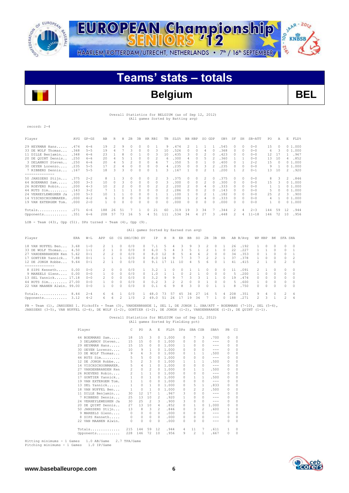

record: 2-4

SAAR-2012 EUROPEAN Championship  $-2^{16}$ HAARLEM/ROTTERDAM/UTRECHT, NETHERLANDS • 7<sup>th</sup> / 16<sup>th</sup> SEPTEMBER

# **Teams' stats – totals**

# **Belgium BEL**

## Overall Statistics for BELGIUM (as of Sep 12, 2012) (All games Sorted by Batting avg)

| Player                                                                                                                                                                                                                                           | AVG  | $GP - GS$ | AB           | R            | Η            | 2B             | 3B           | HR RBI                               |                | TB           | SLG%         |          | BB HBP         |               | SO GDP         |              | OB <sub>8</sub> | SF             | SH             | SB-ATT         | PO             | A              | E.                    | FLD%           |
|--------------------------------------------------------------------------------------------------------------------------------------------------------------------------------------------------------------------------------------------------|------|-----------|--------------|--------------|--------------|----------------|--------------|--------------------------------------|----------------|--------------|--------------|----------|----------------|---------------|----------------|--------------|-----------------|----------------|----------------|----------------|----------------|----------------|-----------------------|----------------|
| 29 HEYRMAN Hans                                                                                                                                                                                                                                  | .474 | $6 - 6$   | 19           | 2            | 9            | $\circ$        | 0            | $\Omega$                             | 1              | 9            | .474         |          | 2              | 1             | 1              | $\mathbf{1}$ | .545            | 0              | $\Omega$       | $0 - 0$        | 15             | $\Omega$       |                       | 01.000         |
| 33 DE WOLF Thomas                                                                                                                                                                                                                                | .368 | $5 - 5$   | 19           | 4            | 7            | 3              | $\Omega$     | $\Omega$                             | 3              | 10           | .526         |          | $\Omega$       | $\Omega$      | $\overline{4}$ | $\Omega$     | .368            | $\Omega$       | $\Omega$       | $0 - 0$        | 6              | 3              |                       | 01.000         |
| 11 DILLE Benjamin                                                                                                                                                                                                                                | .348 | $6 - 6$   | 23           | 1            | 8            | 0              | 1            | $\Omega$                             | 3              | 10           | .435         |          | 3              | $\circ$       | 2              | $\circ$      | .423            | $\circ$        | $\circ$        | $0 - 0$        | 12             | 17             |                       | 1 .967         |
| 20 DE QUINT Dennis                                                                                                                                                                                                                               | .250 | $6 - 6$   | 20           | 4            | 5            | <sup>-1</sup>  | $\Omega$     | $\Omega$                             | $\overline{c}$ | 6            | .300         |          | 4              | $\mathcal{O}$ | 5              | 2            | .360            | $\mathbf{1}$   | $\overline{1}$ | $0 - 0$        | 13             | 10             |                       | 4.852          |
| 3 DELANNOY Steven                                                                                                                                                                                                                                | .250 | $6 - 6$   | $20 -$       | 4            | 5            | $\mathfrak{D}$ | $\Omega$     | $\Omega$                             | 6              | 7            | .350         |          | 5              | $\Omega$      | $\mathbf{1}$   | $\Omega$     | .400            | $\Omega$       | $\overline{1}$ | $2 - 2$        | 1.5            | $\Omega$       |                       | 0, 1, 000      |
| 30 OEYEN Lorenzo                                                                                                                                                                                                                                 | .235 | $5 - 5$   | 17           | 2            | 4            | $\Omega$       | $\Omega$     | $\cap$                               | $\Omega$       | 4            | .235         |          | $\Omega$       | $\Omega$      | 3              |              | .235            | $\Omega$       | $\circ$        | $0 - 0$        | 9              | 1              |                       | 01.000         |
| 7 RIBBENS Dennis                                                                                                                                                                                                                                 | .167 | $5 - 5$   | 18           | 3            | 3            | $\Omega$       | $\Omega$     | $\cap$                               | $\mathbf{1}$   | 3.           | .167         |          | $\mathbf{1}$   | $\Omega$      | $\mathfrak{D}$ | 1.           | .200            | $\mathbf{1}$   | 2              | $() - 1$       | 13             | 10             |                       | 2 .920         |
| --------------                                                                                                                                                                                                                                   |      |           |              |              |              |                |              |                                      |                |              |              |          |                |               |                |              |                 |                |                |                |                |                |                       |                |
| 50 JANSSENS Stijn                                                                                                                                                                                                                                | .375 | $2 - 2$   | 8            | 1            | 3            | $\circ$        | 0            | $\Omega$                             | 2              | 3            | .375         |          | 0              | $\Omega$      | 2              | $\Omega$     | .375            | $\circ$        | $\circ$        | $0 - 0$        | 8              | 3              | $\mathbf{2}^{\prime}$ | .846           |
| 64 BOERMANS Sam                                                                                                                                                                                                                                  | .300 | $3 - 3$   | 10           | $\Omega$     | 3            | $\Omega$       | $\Omega$     | $\Omega$                             | $\Omega$       | 3            | .300         |          | $\Omega$       | $\Omega$      | 2              | 0            | .300            | $\Omega$       | $\Omega$       | $0 - 0$        | 1.5            | 3              |                       | 01.000         |
| 26 ROEVENS Robin                                                                                                                                                                                                                                 | .200 | $4 - 3$   | 10           | 2            | 2            | $\circ$        | $\Omega$     | $\Omega$                             | 2              | 2            | .200         |          | $\overline{c}$ | $\Omega$      | 4              | $\Omega$     | .333            | $\circ$        | $\Omega$       | $0 - 0$        | 1              | $\mathbf{1}$   |                       | 01.000         |
| 44 RUTS Sim                                                                                                                                                                                                                                      | .143 | $3 - 2$   | 7            | $\mathbf{1}$ | $\mathbf{1}$ | 1              | $\Omega$     | $\Omega$                             | $\Omega$       | 2            | .286         |          | $\Omega$       | $\Omega$      | $\overline{2}$ | $\bigcap$    | .143            | $\mathcal{O}$  | $\Omega$       | $0 - 0$        | 5              | $\Omega$       |                       | 01.000         |
| 24 VERHEYLEWEGHEN Ja                                                                                                                                                                                                                             | .100 | $5 - 3$   | 10           | $\mathbf{1}$ | $\mathbf{1}$ | $\Omega$       | $\Omega$     | $\Omega$                             | $\mathbf{1}$   | 1            | .100         |          | 1              | $\Omega$      | 2              | $\mathbf{1}$ | .182            | $\mathcal{O}$  | $\Omega$       | $0 - 0$        | 25             | 2              |                       | 3, 900         |
| 14 VISCHSCHOONMAKER.                                                                                                                                                                                                                             | .000 | $4 - 2$   | 6            | $\mathbf{1}$ | $\cap$       | $\Omega$       | $\Omega$     | $\cap$                               | $\cap$         | $\Omega$     | .000         |          | $\mathbf{1}$   |               | 4              | $\bigcap$    | .333            | $\Omega$       | $\Omega$       | $0 - 0$        | $\overline{4}$ | $\mathbf{1}$   |                       | 01.000         |
| 19 VAN EXTERGEM Tom.                                                                                                                                                                                                                             | .000 | $2 - 0$   | $\mathbf{1}$ | $\Omega$     | $\Omega$     | $\Omega$       | $\Omega$     | $\cap$                               | $\Omega$       | $\Omega$     | .000         |          | $\Omega$       | $\cap$        | $\Omega$       | O.           | .000            | $\mathcal{O}$  | $\Omega$       | $0 - 0$        | $\mathbf{1}$   | $\Omega$       |                       | 01.000         |
|                                                                                                                                                                                                                                                  |      | $6 - 6$   | 188          | 26           | 51           | -7             | $\mathbf{1}$ | $\Omega$                             | 21             | 60           | .319         |          | 19             | 3             | 34             | 7            | .344            | 2              | 4              | $2 - 3$        | 144            | 59             | 12                    | .944           |
| Totals .271                                                                                                                                                                                                                                      |      |           |              | 57           |              | 73 16          | 5            | 4                                    | 51             |              | .534         |          | 34             | 4             | 27             | 3            |                 | $\mathfrak{D}$ |                |                |                |                |                       |                |
| Opponents .351                                                                                                                                                                                                                                   |      | $6 - 6$   | 208          |              |              |                |              |                                      |                | 111          |              |          |                |               |                |              | .448            |                | 4              | $11 - 18$      | 146            | 72             | 10                    | .956           |
| LOB - Team $(43)$ , Opp $(51)$ . DPs turned - Team $(4)$ , Opp $(9)$ .                                                                                                                                                                           |      |           |              |              |              |                |              |                                      |                |              |              |          |                |               |                |              |                 |                |                |                |                |                |                       |                |
|                                                                                                                                                                                                                                                  |      |           |              |              |              |                |              | (All games Sorted by Earned run avg) |                |              |              |          |                |               |                |              |                 |                |                |                |                |                |                       |                |
|                                                                                                                                                                                                                                                  |      |           |              |              |              |                |              |                                      |                |              |              |          |                |               |                |              |                 |                |                |                |                |                |                       |                |
| Player                                                                                                                                                                                                                                           | ERA  | $W-L$     | APP          | GS.          |              | CG SHO/CBO SV  |              |                                      | ΙP             | Н            |              |          | R ER BB        | so            | 2B             | 3B           | HR.             |                | AB B/Avq       | WP HBP         |                | BК             | SFA SHA               |                |
| 18 VAN NUFFEL Ben                                                                                                                                                                                                                                | 3.68 | $1 - 0$   | 2            | 1            | 0            | 0/0            |              | $\circ$                              | 7.1            | 5            | 4            | 3        | 9              | 3             | 2              | 0            | 1               | 26             | .192           | 1              | 0              | 0              | 0                     | $\Omega$       |
| 33 DE WOLF Thomas                                                                                                                                                                                                                                | 4.50 | $1 - 1$   | 2            | $\mathbf{1}$ | 0            | 0/0            |              | $\circ$                              | 6.0            | 5            | 4            | 3        | 5              | $\mathbf{1}$  | 2              | $\mathbf{1}$ | $\Omega$        | 22             | .227           | 1              | 1              | $\Omega$       | $\Omega$              | 1              |
| 27 VANDENBRANDEN Ken                                                                                                                                                                                                                             | 5.62 | $0 - 1$   | 2            | 2            | $\Omega$     | 0/0            |              | $\Omega$                             | 8.0            | 12           | 8            | 5        | $\overline{4}$ | 6             | $\overline{2}$ | 0            | $\Omega$        | 34             | .353           | $\circ$        | $\mathbf{1}$   | $\Omega$       | $\Omega$              | 1              |
| 17 GONTIER Yannick                                                                                                                                                                                                                               | 7.88 | $0 - 1$   | 1            | 1            | 1            | 0/0            |              | $\Omega$                             | 8.0            | 14           | 9            |          | 3              | 7             | $\overline{2}$ | 2            | $\mathbf{1}$    | 37             | .378           | 1              | 0              | $\Omega$       | $\Omega$              | $\overline{c}$ |
| 12 DE JONGH Robbe                                                                                                                                                                                                                                | 9.64 | $0 - 1$   | 2            | $\mathbf{1}$ | $\Omega$     | 0/0            |              | $\mathcal{O}$                        | 9.1            | 17           | 11           | 10       | 4              | 5             | 6              | $\Omega$     | $\mathbf{1}$    | 41             | .415           | 2              | 1              | $\cap$         | $\overline{2}$        | $\Omega$       |
| --------------<br>8 SIPS Kenneth                                                                                                                                                                                                                 | 0.00 | $0 - 0$   | 2            | 0            | $\Omega$     | 0/0            |              | 1                                    | 3.2            | 1            | 0            | $\Omega$ | -1             | 1             | $\mathcal{O}$  | $\Omega$     | $\Box$          | 11             | .091           | 2              | 1              | $\Omega$       | $\Omega$              | $\Omega$       |
| 9 MAREELS Glenn                                                                                                                                                                                                                                  | 0.00 | $0 - 0$   | 1            | $\circ$      | $\Omega$     | 0/0            |              | $\Omega$                             | 1.0            | $\mathbf{1}$ | $\mathbf{1}$ | $\Omega$ | 2              | 1             | 0              | 0            | $\Omega$        | 5              | .200           | $\mathbf{1}$   | $\circ$        | $\Omega$       | $\Omega$              | $\Omega$       |
| 13 SEL Yannick 17.18                                                                                                                                                                                                                             |      | $0 - 0$   | 2            | $\Omega$     | $\Omega$     | 0/0            |              | $\Omega$                             | 3.2            | 9            | 9            | 7        | 3              | 3             | $\mathbf{1}$   | $\mathbf{1}$ | $\Omega$        | 19             | .474           | $\Omega$       | $\Omega$       | $\Omega$       | $\Omega$              | $\Omega$       |
| 44 RUTS Sim 27.00                                                                                                                                                                                                                                |      | $0 - 0$   | 1            | $\circ$      | $\Omega$     | 0/0            |              | $\circ$                              | 0.2            | 3            | 2            | 2        | $\circ$        | 0             | $\mathbf{1}$   | $\circ$      | $\circ$         | 5              | .600           | 1              | 0              | $\Omega$       | $\circ$               | $\Omega$       |
| 22 VAN MAANEN Alwin, 99.00                                                                                                                                                                                                                       |      | $0 - 0$   | $\mathbf{1}$ | $\Omega$     | $\cap$       | 0/0            |              | $\cap$                               | 0.1            | 6            | Q            | 8        | 3              | $\Omega$      | $\cap$         | 1            | $\mathbf{1}$    | 8              | .750           | $\Omega$       | 0              | $\cap$         | $\cap$                | $\cap$         |
| Totals $8.44$                                                                                                                                                                                                                                    |      | $2 - 4$   | 6.           | 6            | 1            | 0/0            |              | $1 \quad 48.0$                       |                | 73           | 57           | 45       | 34             | 27            | 16             | 5            | $\overline{4}$  | 208            | .351           | 9              | 4              | $\Omega$       | 2                     | $\overline{4}$ |
| Opponents 3.12                                                                                                                                                                                                                                   |      | $4 - 2$   | 6            | 6            | 2            | 1/0            |              | 2, 49.0                              |                | 51 26        |              |          | 17 19 34       |               | 7              | $\mathbf{1}$ | $\circ$         | 188            | .271           | $\mathfrak{D}$ | 3              | $\overline{1}$ | $\overline{2}$        | 4              |
|                                                                                                                                                                                                                                                  |      |           |              |              |              |                |              |                                      |                |              |              |          |                |               |                |              |                 |                |                |                |                |                |                       |                |
| PB - Team (1), JANSSENS 1. Pickoffs - Team (3), VANDENBRANDE 1, SEL 1, DE JONGH 1. SBA/ATT - BOERMANS (7-10), SEL (5-6),<br>(1–1) ידערדוזס עם (1–2) עם אותם המאוחרות הולי (1–2) ב-11 מ-11 (1–2) מ-14 ה-14 עם ה-12) ויש המים (1–2) האדוזס (1–2) ו |      |           |              |              |              |                |              |                                      |                |              |              |          |                |               |                |              |                 |                |                |                |                |                |                       |                |

JANSSENS (3-5), VAN NUFFEL (2-4), DE WOLF (1-2), GONTIER (1-2), DE JONGH (1-2), VANDENBRANDE (1-2), DE QUINT (1-1).

#### Overall Statistics for BELGIUM (as of Sep 12, 2012) (All games Sorted by Fielding pct)

| Player |                      | C.             | PO             | Α              | E.             | FLD%  | <b>DPs</b> | SBA CSB      |                | SBA%                                                                                                                                                                                                                                                                                                                                                                                         | PB       | CI |
|--------|----------------------|----------------|----------------|----------------|----------------|-------|------------|--------------|----------------|----------------------------------------------------------------------------------------------------------------------------------------------------------------------------------------------------------------------------------------------------------------------------------------------------------------------------------------------------------------------------------------------|----------|----|
|        | 64 BOERMANS Sam      | 18             | 1.5            | 3              | 0              | 1,000 | 0          | 7            | 3              | .700                                                                                                                                                                                                                                                                                                                                                                                         | 0        | 0  |
| 3.     | DELANNOY Steven      | 15             | 15             | $\Omega$       | 0              | 1,000 | $\Omega$   | 0            | <sup>0</sup>   | $-- -$                                                                                                                                                                                                                                                                                                                                                                                       | 0        | 0  |
|        | 29 HEYRMAN Hans      | 15             | 15             | 0              | 0              | 1,000 | 1          | 0            | 0              | $- - -$                                                                                                                                                                                                                                                                                                                                                                                      | 0        | 0  |
| 30     | OEYEN Lorenzo        | 10             | 9              | 1              | 0              | 1,000 | n          | $\Omega$     | <sup>0</sup>   | $\frac{1}{2} \left( \frac{1}{2} \right) \left( \frac{1}{2} \right) \left( \frac{1}{2} \right) \left( \frac{1}{2} \right)$                                                                                                                                                                                                                                                                    | $\Omega$ | 0  |
| 33.    | DE WOLF Thomas       | 9              | 6              | 3              | 0              | 1,000 | O.         | 1            | 1              | .500                                                                                                                                                                                                                                                                                                                                                                                         | 0        | 0  |
|        | 44 RUTS Sim          | 5              | 5              | $\circ$        | 0              | 1,000 | 0          | 0            | $\Omega$       | $\sim$ $\sim$ $\sim$                                                                                                                                                                                                                                                                                                                                                                         | 0        | 0  |
| 12.    | DE JONGH Robbe       | 5              | $\overline{c}$ | 3              | 0              | 1.000 | 1          | 1            | 1.             | .500                                                                                                                                                                                                                                                                                                                                                                                         | 0        | 0  |
|        | 14 VISCHSCHOONMAKER. | 5              | $\overline{4}$ | $\mathbf{1}$   | 0              | 1,000 | O.         | $\Omega$     | $\Omega$       | $-- -$                                                                                                                                                                                                                                                                                                                                                                                       | 0        | 0  |
| 27     | VANDENBRANDEN Ken    | 2              | $\circ$        | $\overline{c}$ | 0              | 1,000 | 0          | 1            | $\mathbf{1}$   | .500                                                                                                                                                                                                                                                                                                                                                                                         | 0        | 0  |
|        | 26 ROEVENS Robin     | $\overline{c}$ | 1              | 1              | 0              | 1.000 | 0          | $\Omega$     | 0              | $\frac{1}{2} \frac{1}{2} \frac{1}{2} \frac{1}{2} \frac{1}{2} \frac{1}{2} \frac{1}{2} \frac{1}{2} \frac{1}{2} \frac{1}{2} \frac{1}{2} \frac{1}{2} \frac{1}{2} \frac{1}{2} \frac{1}{2} \frac{1}{2} \frac{1}{2} \frac{1}{2} \frac{1}{2} \frac{1}{2} \frac{1}{2} \frac{1}{2} \frac{1}{2} \frac{1}{2} \frac{1}{2} \frac{1}{2} \frac{1}{2} \frac{1}{2} \frac{1}{2} \frac{1}{2} \frac{1}{2} \frac{$ | $\Omega$ | 0  |
| 17     | GONTIER Yannick      | 1              | $\Omega$       | $\mathbf{1}$   | 0              | 1,000 | $\Omega$   | 1            | 1              | .500                                                                                                                                                                                                                                                                                                                                                                                         | 0        | 0  |
| 19     | VAN EXTERGEM Tom.    | 1              | $\mathbf{1}$   | $\circ$        | 0              | 1,000 | 0          | 0            | $\Omega$       | $\frac{1}{2} \frac{1}{2} \frac{1}{2} \frac{1}{2} \frac{1}{2} \frac{1}{2} \frac{1}{2} \frac{1}{2} \frac{1}{2} \frac{1}{2} \frac{1}{2} \frac{1}{2} \frac{1}{2} \frac{1}{2} \frac{1}{2} \frac{1}{2} \frac{1}{2} \frac{1}{2} \frac{1}{2} \frac{1}{2} \frac{1}{2} \frac{1}{2} \frac{1}{2} \frac{1}{2} \frac{1}{2} \frac{1}{2} \frac{1}{2} \frac{1}{2} \frac{1}{2} \frac{1}{2} \frac{1}{2} \frac{$ | 0        | 0  |
| 13     | SEL Yannick          | 1              | $\Omega$       | $\mathbf{1}$   | 0              | 1.000 | 0          | 5            | 1.             | .833                                                                                                                                                                                                                                                                                                                                                                                         | $\Omega$ | 0  |
|        | 18 VAN NUFFEL Ben    | 1              | $\Omega$       | $\mathbf{1}$   | 0              | 1,000 | 0          | 2            | $\mathfrak{D}$ | .500                                                                                                                                                                                                                                                                                                                                                                                         | 0        | 0  |
|        | 11 DILLE Benjamin    | 30             | 12             | 17             | 1.             | .967  | 3          | 0            | 0              | $- - -$                                                                                                                                                                                                                                                                                                                                                                                      | 0        | 0  |
|        | 7 RIBBENS Dennis     | 25             | 13             | 10             | 2              | .920  | 1.         | $\Omega$     |                | $- - -$                                                                                                                                                                                                                                                                                                                                                                                      | $\Omega$ | 0  |
|        | 24 VERHEYLEWEGHEN Ja | 30             | 25             | 2              | 3              | .900  | 3          | 0            | 0              | $- - -$                                                                                                                                                                                                                                                                                                                                                                                      | $\Omega$ | 0  |
|        | 20 DE OUINT Dennis   | 27             | 13             | 10             | 4              | .852  | 0          | $\mathbf{1}$ | $\circ$        | 1,000                                                                                                                                                                                                                                                                                                                                                                                        | 0        | 0  |
|        | 50 JANSSENS Stijn    | 13             | 8              | 3              | $\mathfrak{D}$ | .846  | 0          | 3            | 2              | .600                                                                                                                                                                                                                                                                                                                                                                                         | 1        | 0  |
|        | 9 MAREELS Glenn      | 0              | $\Omega$       | $\Omega$       | 0              | .000  | $\Omega$   | 0            | O.             | $-- -$                                                                                                                                                                                                                                                                                                                                                                                       | $\Omega$ | O  |
| 8      | SIPS Kenneth         | 0              | $\circ$        | 0              | 0              | .000  | 0          | 0            | 0              | $- - -$                                                                                                                                                                                                                                                                                                                                                                                      | 0        | 0  |
|        | 22 VAN MAANEN Alwin. | $\Omega$       | $\Omega$       | $\Omega$       | 0              | .000  | n          | 0            | <sup>0</sup>   | $- - -$                                                                                                                                                                                                                                                                                                                                                                                      | $\Omega$ | 0  |
|        | Totals               | 215            | 144            | 59             | 12             | .944  | 4          | 11           | 7              | .611                                                                                                                                                                                                                                                                                                                                                                                         | 1        | 0  |
|        | Opponents            | 228            | 146            | 72             | 10             | .956  | 9          | 2            | 1              | .667                                                                                                                                                                                                                                                                                                                                                                                         | 0        | 0  |

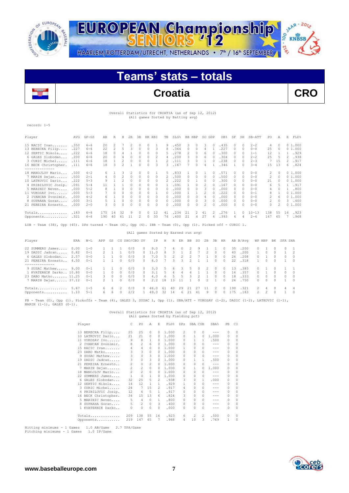



# **Teams' stats – totals**



#### Overall Statistics for CROATIA (as of Sep 12, 2012) (All games Sorted by Batting avg)

record: 1-5

| Player                               | AVG  | $GP - GS$ | AB  | R              | Н             | 2B       | 3B       | HR.      | RBI      | TB       | SLG%  | <b>BB</b> | HBP           | SO.            | GDP | OB%   | SF            | SH       | SB-ATT    | PO             | Α        | E  | FLD%   |
|--------------------------------------|------|-----------|-----|----------------|---------------|----------|----------|----------|----------|----------|-------|-----------|---------------|----------------|-----|-------|---------------|----------|-----------|----------------|----------|----|--------|
| 15 RACIC Ivan                        | .350 | $6 - 6$   | 20  | 2              |               |          |          | 0        |          | 9        | 450   | 3         | $\Box$        | 3              | 0   | .435  | $\Omega$      | $\Omega$ | $2 - 2$   | 4              | $\Omega$ |    | 01.000 |
| 13 BERECKA Filip                     | .227 | $6 - 6$   | 22  | $\overline{c}$ | 5             | 3        | 0        | 0        | 3        | 8        | .364  | 0.        | $\Box$        |                |     | .227  | $\Omega$      | $\Omega$ | $0 - 0$   | 25             | $\Omega$ |    | 01.000 |
| 12 SERTIC Nikola                     | .222 | $6 - 6$   | 18  | $\Omega$       |               |          |          |          | 0        | 5.       | 278   |           |               | 6              |     | .300  | 0             | $\Omega$ | $1 - 1$   | 12             |          |    | .929   |
| 6 GALES Slobodan                     | .200 | $6 - 6$   | 20  | $\Omega$       |               | $\Omega$ |          | $\Omega$ | 2        | 4        | .200  | 3         | $\mathcal{O}$ | 6              |     | .304  | $\mathcal{O}$ | $\Omega$ | $2 - 2$   | 25             | 5        |    | .938   |
| 3 CURIC Michel                       | .111 | $6 - 6$   | 18  |                |               | $\Omega$ |          | 0        |          |          | .111  |           | $\cap$        |                |     | .238  | $\cap$        | $\Omega$ | $2 - 3$   |                | 1.5      |    | .917   |
| 16 BECK Christopher.                 | .111 | $6 - 6$   | 18  | 3              | $\mathcal{L}$ |          |          |          | 3        | 3        | .167  |           |               | 4              |     | .346  |               | $\Omega$ | $3 - 4$   | 15             | 13       | 6  | .824   |
| ---------------<br>18 MANOJLOV Mario | .500 | $4 - 2$   | 6.  |                | २             |          |          | 0        |          | 5.       | .833  |           | $\cap$        |                |     | .571  | $\mathcal{O}$ | $\Omega$ | $0 - 0$   | $\mathfrak{D}$ | $\Omega$ |    | 01.000 |
| 7 MARIN Dejan                        | .500 | $2 - 1$   | 4   | $\Omega$       |               | $\Omega$ | $\Omega$ | $\Omega$ | $\Omega$ | 2        | .500  | 0         | $\cap$        | 0              |     | .500  | $\mathcal{O}$ | $\Omega$ | $0 - 0$   | 2              | $\Omega$ |    | 01.000 |
| 10 LATKOVIC Dario                    | .222 | $5 - 3$   | 9   |                |               | $\Omega$ |          | 0        | 0        |          | 222   | 0         |               | 0              |     | .300  | $\Omega$      | $\Omega$ | $0 - 0$   | 21             |          |    | 01.000 |
| 4 PRIBILOVIC Josip.                  | .091 | $5 - 4$   |     |                |               | $\Omega$ |          | $\Omega$ | 0        |          | 091   |           | $\cap$        | 2              |     | .167  | $\cap$        | $\Omega$ | $0 - 0$   | 6              | 5        |    | .917   |
| 5 MARINIC Neven                      | .000 | $5 - 2$   |     |                |               |          |          |          |          | 0        | .000  | 0         |               | 3              |     | . 000 | $\cap$        | $\Omega$ | $0 - 0$   | 4              |          |    | .800   |
| 11 VUKOSAV Ivo                       | .000 | $5 - 3$   |     |                |               |          |          |          |          | 0        | .000  |           |               |                |     | .222  | $\mathcal{O}$ | $\Omega$ | $0 - 1$   | 8              |          |    | 01.000 |
| 2 IVANCAN Zvonimir.                  | .000 | $4 - 2$   | 6.  |                |               | $\Omega$ |          | $\Omega$ | 0        | $\Omega$ | . 000 | n         |               | 4              |     | .000  | $\Omega$      | $\Omega$ | $0 - 0$   | $\mathfrak{D}$ | 6        |    | 01.000 |
| 8 SUPRAHA Goran                      | .000 | $3 - 1$   |     |                | n             |          |          | 0        | $\Omega$ | $\Omega$ | .000  | 0         | $\cap$        | २              |     | .000  | $\mathcal{O}$ | $\Omega$ | $0 - 0$   | 2              | $\Omega$ | 3  | .400   |
| 21 PEREIRA Ernesto                   | .000 | $2 - 0$   | 3.  |                |               |          |          |          | $\Omega$ | 0        | .000  | O         |               | $\mathfrak{D}$ |     | .000  |               | $\Omega$ | $0 - 0$   | 0              |          | 0  | 1,000  |
| Totals                               | .183 | $6 - 6$   | 175 | 14             | 32            | 9        |          | 0        | 12       | 41       | 234   | 21        | 2             | 41             |     | 276   |               | $\Omega$ | $10 - 13$ | 138            | 55       | 16 | .923   |
| Opponents                            | .321 | $6 - 6$   | 190 | 40             | 61            |          |          | 0        | 33       | 76       | 400   | 21        | 4             | 27             |     | .393  | 4             |          | $2 - 4$   | 147            | 65       |    | .968   |
|                                      |      |           |     |                |               |          |          |          |          |          |       |           |               |                |     |       |               |          |           |                |          |    |        |

LOB - Team (38), Opp (45). DPs turned - Team (6), Opp (4). IBB - Team (0), Opp (1). Picked off - CURIC 1.

|                                                                                              |              |                                            |                     |                                     |                                            |                          |                                          | (All games Sorted by Earned run avg) |                       |                                |                      |               |                                     |                                |                                  |                                              |                       |                              |                                          |                    |                        |                    |                                         |
|----------------------------------------------------------------------------------------------|--------------|--------------------------------------------|---------------------|-------------------------------------|--------------------------------------------|--------------------------|------------------------------------------|--------------------------------------|-----------------------|--------------------------------|----------------------|---------------|-------------------------------------|--------------------------------|----------------------------------|----------------------------------------------|-----------------------|------------------------------|------------------------------------------|--------------------|------------------------|--------------------|-----------------------------------------|
| Player                                                                                       | ERA          | $W-L$                                      | APP                 | GS                                  |                                            | CG SHO/CBO SV            |                                          | IP.                                  | H                     | R                              | ER                   | BB            | SO.                                 | 2B                             | 3B                               | HR                                           |                       | AB B/Avq                     |                                          | WP HBP             | BK                     | SFA SHA            |                                         |
| 22 SUMMERS James<br>19 DADIC Jadran<br>6 GALES Slobodan 2.57<br>21 PEREIRA Ernesto 4.50      | 0.00<br>0.82 | $1 - 0$<br>$() - 1$<br>$0 - 0$<br>$0 - 1$  | 1.                  | $2 \quad 1$                         | $\Omega$<br>$\Omega$                       | 0/0<br>0/0<br>0/0<br>0/0 | $\Omega$<br>$\Omega$<br>$\Omega$         | 9.0<br>0, 11.0<br>7.0<br>6.0         | 8<br>5                | 4<br>3.<br>$\mathcal{P}$<br>3. | $\Omega$<br>2<br>3   | 2<br>2<br>2   | 9.                                  | 2                              | $\Omega$<br>$\Omega$<br>$\cap$   | $\Omega$<br>$\Omega$<br>$\Omega$<br>$\Omega$ | 35<br>40<br>2.4<br>22 | .200<br>.200<br>.208<br>.318 | 0.<br>$\cap$                             | $\Omega$<br>$\cap$ | $\Omega$<br>$\Omega$   | $\cap$<br>$\Omega$ | $\overline{2}$<br>$\circ$<br>$\bigcirc$ |
| 9 SUSAC Mathew 9.00<br>1 KVATERNIK Darko 10.80<br>23 DABO Matko 11.25<br>7 MARIN Dejan 37.12 |              | $() - 1$<br>$0 - 0$<br>$() - 1$<br>$0 - 1$ | 1.<br>$\mathcal{R}$ | $\Omega$<br>$\Omega$<br>$2 \quad 1$ | $\Omega$<br>$\Omega$<br>$\Omega$<br>$\cap$ | 0/0<br>0/0<br>0/0<br>0/0 | $\Omega$<br>$\Omega$<br>$\cap$<br>$\cap$ | 3.0<br>3.1<br>4.0<br>2.2             | 5.<br>.5.<br>-6<br>18 | 6.<br>4<br>.5.<br>13           | 3<br>4<br>.5<br>- 11 | .5.<br>4<br>₹ | $\Omega$<br>$\mathcal{P}$<br>$\cap$ | $\mathcal{L}$<br>$\mathcal{P}$ | $\Omega$<br>$\Omega$<br>$\Omega$ | $\Omega$<br>$\Omega$<br>$\Omega$<br>$\cap$   | 13<br>14<br>18<br>2.4 | .385<br>.357<br>.333<br>.750 | $\cap$<br>$^{\circ}$<br>$\cap$<br>$\cap$ | $\Omega$<br>$\cap$ | n.<br>$\cap$<br>$\cap$ | 0<br>$\Omega$      | $\Omega$<br>$\bigcirc$<br>$\bigcirc$    |
| Totals $5.67$<br>Opponents 1.10                                                              |              | $1 - 5$<br>$5 - 1$                         | 6.<br>6.            | 6<br>6                              | 2<br>$\Omega$                              | 0/0<br>2/2               | $\Omega$                                 | 46.0<br>$1 \quad 49.0$               | 61<br>-32             | 40<br>14                       | 29<br>-6             | 21<br>21      | 27<br>41                            | 11<br>9                        | 2<br>$\cap$                      | $\Omega$<br>$\cap$                           | 190<br>175            | .321<br>.183                 | $\mathcal{P}$<br>$\mathcal{P}$           | 4<br>$\mathcal{P}$ | $\Omega$<br>$\cap$     | 4                  | $\overline{4}$<br>$\bigcirc$            |

PB - Team (0), Opp (1). Pickoffs - Team (4), GALES 3, SUSAC 1, Opp (1). SBA/ATT - VUKOSAV (1-2), DADIC (1-2), LATKOVIC (1-1),<br>MARIN (1-1), GALES (0-1).

#### Overall Statistics for CROATIA (as of Sep 12, 2012) (All games Sorted by Fielding pct)

|    | Player               | C              | PO             | A            | E.           | FLD%  | <b>DPs</b> | SBA CSB  |               | SBA%    | PB       | CI       |
|----|----------------------|----------------|----------------|--------------|--------------|-------|------------|----------|---------------|---------|----------|----------|
|    | 13 BERECKA Filip     | 25             | 25             | 0            | $\Omega$     | 1,000 | 2          | 0        | 0             | $- - -$ | $\Omega$ | $\Omega$ |
|    | 10 LATKOVIC Dario    | 21             | 21             | 0            | 0            | 1,000 | $\Omega$   |          | 0             | 1,000   | 0        | $\circ$  |
|    | 11 VUKOSAV Ivo       | 9              | 8              | $\mathbf{1}$ | 0            | 1.000 | $\Omega$   |          | 1.            | .500    | 0        | $\circ$  |
|    | 2 IVANCAN Zvonimir.  | 8              | 2              | 6            | 0            | 1.000 | $\Omega$   | $\Omega$ | 0             | $- - -$ | 0        | $\circ$  |
|    | 15 RACIC Ivan        | 4              | 4              | 0            | 0            | 1,000 | 1.         | $\Omega$ | $\mathcal{O}$ | $- - -$ | 0        | 0        |
|    | 23 DABO Matko        | 3              | 3              | 0            | 0            | 1,000 | $\Omega$   | 0        | 0             | ---     | 0        | 0        |
|    | 9 SUSAC Mathew       | 3              | 0              | 3            | 0            | 1,000 | $\Omega$   | $\Omega$ | 0             | ---     | 0        | 0        |
|    | 19 DADIC Jadran      | 3              | 0              | 3            | 0            | 1,000 | $\Omega$   |          | 1             | .500    | 0        | $\circ$  |
| 21 | PEREIRA Ernesto      | 2              | 0              | 2            | 0            | 1,000 | $\Omega$   | 0        | 0             | $- - -$ | $\Omega$ | 0        |
|    | 7 MARIN Dejan        | $\overline{c}$ | $\sqrt{2}$     | $\circ$      | 0            | 1,000 | $\Omega$   | 1        | O.            | 1,000   | 0        | $\circ$  |
|    | 18 MANOJLOV Mario    | $\overline{2}$ | $\overline{2}$ | $\circ$      | 0            | 1.000 | $\Omega$   | 0        | 0             | $- - -$ | 0        | 0        |
|    | 22 SUMMERS James     | 1              | $\circ$        | 1            | 0            | 1,000 | $\Omega$   |          | 0             | $- - -$ | $\Omega$ | $\Omega$ |
|    | 6 GALES Slobodan     | 32             | 25             | 5            | 2            | .938  | 3          | 0        | 1             | .000    | 0        | $\circ$  |
|    | 12 SERTIC Nikola     | 14             | 12             | 1            | 1.           | .929  |            | 0        | 0             | ---     | $\Omega$ | $\circ$  |
|    | 3 CURIC Michel       | 24             | 7              | 15           | 2            | .917  | 4          | 0        | 0             | ---     | 0        | 0        |
|    | 4 PRIBILOVIC Josip.  | 12             | 6              | 5            | 1.           | .917  | 0          | 0        | 0             | ---     | $\Omega$ | $\Omega$ |
|    | 16 BECK Christopher. | 34             | 15             | 13           | 6.           | .824  | 3          | 0        | 0             | ---     | $\Omega$ | 0        |
|    | 5 MARINIC Neven      | 5              | 4              | 0            | $\mathbf{1}$ | .800  | 0          | 0        | 0             |         | $\Omega$ | $\Omega$ |
|    | 8 SUPRAHA Goran      | 5.             | 2              | $\Omega$     | 3            | .400  | $\Omega$   | 0        | 0             |         | 0        | $\Omega$ |
|    | 1 KVATERNIK Darko    | 0              | $\Omega$       | $\Omega$     | 0            | .000  | 0          | n        | 0             |         | 0        | $\Omega$ |
|    | Totals               | 209            | 138            | 55           | 16           | .923  | 6          | 2        | 2             | .500    | 0        | 0        |
|    | Opponents            | 219            | 147            | 65           | 7            | .968  | 4          | 10       | 3             | .769    | 1        | 0        |

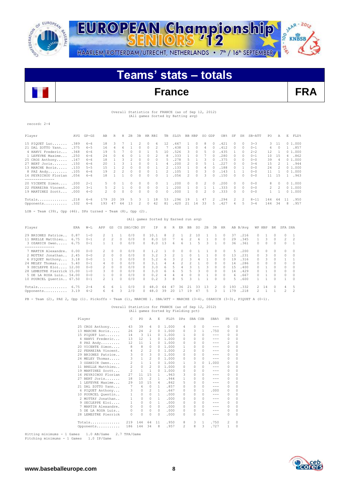



# **Teams' stats – totals**

## **France FRA**

#### Overall Statistics for FRANCE (as of Sep 12, 2012) (All games Sorted by Batting avg)

record: 2-4

| Player                                                                 | AVG  | $GP - GS$ | AB  | R        | Н  | 2B       | 3B | HR RBI   |              | TB. | SLG%                                 |    | BB HBP   | SO. | GDP           | OB%  | SF       | SH       | SB-ATT   | PO. | Α            | E. | FLD%   |
|------------------------------------------------------------------------|------|-----------|-----|----------|----|----------|----|----------|--------------|-----|--------------------------------------|----|----------|-----|---------------|------|----------|----------|----------|-----|--------------|----|--------|
| 15 PIQUET Luc                                                          | .389 | $6 - 6$   | 18  | 3        |    |          |    | 0        | 6            | 12  | .667                                 |    | $\Box$   | 8   | $\Omega$      | .421 | $\Omega$ | $\Omega$ | $3 - 3$  | 3.  | 11           |    | 01.000 |
| 21 DAL ZOTTO Yann                                                      | .375 | $6 - 5$   | 16  | 4        | 6  |          |    | $\Omega$ | 2            |     | .438                                 |    | $\Box$   | 4   |               | .412 | $\Box$   | $\circ$  | $0 - 1$  | 6   | <sup>0</sup> |    | .857   |
| 4 HANVI Frederic                                                       | .368 | $6 - 6$   | 19  | 5        |    |          |    |          |              | 10  | .526                                 | 3  | $\Box$   | 5   |               | .435 |          | $\Omega$ | $2 - 2$  | 12  |              |    | 01.000 |
| 1 LEFEVRE Maxime                                                       | .250 | $6 - 6$   | 24  |          | 6  |          |    |          |              | 8   | .333                                 |    |          |     |               | .280 | 0        | $\Omega$ | $0 - 1$  | 10  | 1.5          | 4  | .862   |
| 25 CROS Anthony                                                        | .167 | $6 - 6$   | 18  |          | २  |          | U  | 0        | $\Omega$     | 5.  | 278                                  | Б  |          | 3   |               | .375 | $\Omega$ | $\Omega$ | $0 - 0$  | 39  |              |    | 01.000 |
| 27 BERT Joris                                                          | .150 | $6 - 6$   | 20  |          |    |          |    | n        |              | 4   | .200                                 |    | n        |     |               | .227 | $\cap$   | $\Omega$ | $3 - 4$  | 15  |              |    | 1.944  |
| 13 MARCHE Boris                                                        | .133 | $5 - 5$   | 15  |          |    |          |    | 0        |              |     | .133                                 |    |          |     |               | .188 |          |          | $0 - 0$  | 24  |              |    | 01.000 |
| 8 PAZ Andy                                                             | .105 | $6 - 6$   | 19  | 2        |    | $\Omega$ | 0  | 0        |              | 2   | .105                                 |    | $\Omega$ | 3   |               | .143 |          |          | $0 - 0$  | 11  |              |    | 01.000 |
| 16 PEYRICHOU Florian                                                   | .056 | $6 - 6$   | 18  |          |    |          |    | 0        | <sup>0</sup> |     | .056                                 | 2  | $\cap$   | 3   | O.            | .150 | O.       | $\Omega$ | $0 - 0$  | 11  | 1.5          |    | .963   |
| 20 VICENTE Simon                                                       | .200 | $2 - 1$   | 5.  | $\Omega$ |    |          |    | 0        | $\Omega$     |     | .200                                 | 0  | $\Omega$ | 2   |               | .200 | $\Omega$ | $\Omega$ | $0 - 0$  | 8   | $\Omega$     |    | 01.000 |
| 22 FERREIRA Vincent.                                                   | .200 | $3 - 1$   | 5.  | 2        |    |          |    | 0        | $\Omega$     |     | .200                                 |    | $\Box$   |     |               | .333 | $\Omega$ | $\Omega$ | $0 - 0$  | 2   | 2            |    | 01.000 |
| 19 MARTINEZ Scott                                                      | .000 | $4 - 0$   | 2.  | 0        |    |          | 0  | 0        | 0            | 0   | .000                                 |    | 0        | 2   | $\mathcal{O}$ | .333 | 0        | $\circ$  | $0 - 0$  |     |              |    | 01.000 |
| Totals                                                                 | .218 | $6 - 6$   | 179 | 20       | 39 | -5       | 3. |          | 18           | 53  | .296                                 | 19 |          | 47  | $\mathcal{L}$ | .294 | 2        | 2        | $8 - 11$ | 144 | 64           | 11 | .950   |
| Opponents                                                              | .332 | $6 - 6$   | 193 | 47       | 64 | 13       | 2  | 0        | 42           | 81  | .420                                 | 21 | 14       | 33  | 5.            | .427 | 4        | 5        | $3 - 4$  | 144 | 34           | 8  | .957   |
| LOB - Team $(39)$ , Opp $(46)$ . DPs turned - Team $(8)$ , Opp $(2)$ . |      |           |     |          |    |          |    |          |              |     |                                      |    |          |     |               |      |          |          |          |     |              |    |        |
|                                                                        |      |           |     |          |    |          |    |          |              |     | (All games Sorted by Earned run avg) |    |          |     |               |      |          |          |          |     |              |    |        |

| Player                     | ERA  | $W-L$   | APP           | GS         |              | CG SHO/CBO SV |          | ΙP   | Н  | R  | ER       | BB | SO.           | 2B | 3B           | HR       |     | AB B/Aνα |               | WP HBP | BK        | SFA SHA       |                |
|----------------------------|------|---------|---------------|------------|--------------|---------------|----------|------|----|----|----------|----|---------------|----|--------------|----------|-----|----------|---------------|--------|-----------|---------------|----------------|
| 29 BRIONES Patrice         | 0.87 | $1 - 0$ | $\mathcal{P}$ |            |              | 0/0           | ∩.       | 10.1 | R  |    |          |    | l n           |    |              | $\Box$   | 37  | .216     | 0             |        | $\Omega$  | 0             |                |
| 11 BRELLE Matthieu         | 6.75 | $0 - 1$ | $\mathcal{P}$ |            | 0            | 0/0           | 0        | 8.0  | 10 |    | 6.       |    | 'n            |    | 0            | $\Omega$ | 29  | .345     |               |        | $\Omega$  | 2             | 2              |
| 3 OZANICH Owen             | 6.75 | $0 - 1$ |               |            | 0            | 0/0           | $\Omega$ | 8.0  | 13 | 6. | 6        |    | $\mathcal{D}$ | 3  |              | $\Omega$ | 36  | .361     | 0             |        | $\Omega$  | 0             |                |
|                            |      |         |               |            |              |               |          |      |    |    |          |    |               |    |              |          |     |          |               |        |           |               |                |
| 7 MARTIN Alexandre.        | 0.00 | $0 - 0$ | 2.            | $^{\circ}$ | 0            | 0/0           | O.       |      |    |    | $^{(1)}$ |    |               |    | 0            | $\Omega$ | 5   | .200     | 0             | O.     | 0         | $\Omega$      | $\Omega$       |
| 2 MOTTAY Jonathan          | 2.45 | $0 - 0$ | $\mathcal{P}$ | $\cap$     | $\Omega$     | 0/0           | 0.       | 3.2  |    |    |          |    |               |    | n.           | $\cap$   | 13  | . 231    | $\cap$        | 3      | $\Omega$  | $\Omega$      | $\Omega$       |
| 6 PIQUET Anthony           | 3.18 | $0 - 0$ |               |            | n            | 0/0           | ∩.       | 5.2  |    |    |          |    |               |    | n            | O.       | 19  | .316     | 0             |        | $\cap$    |               |                |
| 24 MELEY Thomas            | 5.40 | $0 - 1$ |               |            |              | 0/0           |          | 3.1  |    |    |          |    |               |    |              | 0.       | 14  | .286     | 0             |        | n.        | 0             | $\Omega$       |
| 9 SECLEPPE Eloi 12.00      |      | $0 - 0$ |               | $\Omega$   |              | 0/0           | 0.       | 3.0  |    |    |          |    |               | 3  |              | O.       | 1.5 | .400     | 0             |        |           | 0             | $\Omega$       |
| 28 LEMESTRE Pierrick 15.00 |      | $1 - 0$ | $\mathcal{R}$ | $\Omega$   | 0            | 0/0           | ∩.       | 3.0  | h  | 6. |          |    |               | 0  | 0            | 0        | 14  | .429     | 0             |        | 0         | 0             | $\Omega$       |
| 5 DE LA ROSA Luis 54.00    |      | $0 - 0$ |               | $\cap$     | 0            | 0/0           | ∩.       | 0.2  |    |    | 4        |    |               |    | <sup>n</sup> | $\cap$   | 6.  | .667     | 0             |        | $\cap$    | $\Omega$      | $\bigcirc$     |
| 10 POURCEL Quentin 67.50   |      | $0 - 1$ | $\mathcal{P}$ |            | <sup>n</sup> | 0/0           | $\cap$   | 0.2  | २  |    | 5        |    |               |    | <sup>n</sup> | $\cap$   | 5   | .600     |               |        | $\cap$    |               | $\bigcirc$     |
| Totals                     | 6.75 | $2 - 4$ | 6.            | 'n         |              | 0/0           |          | 48   | 64 | 47 | 36       |    | ヌミ            | 13 |              | O.       | 193 | .332     | $\mathcal{D}$ | 14     | $\bigcap$ |               | .5             |
| Opponents                  | 3.19 | $4 - 2$ | 6.            | h          |              | 2/0           |          | 48.0 | 39 | 20 |          | 19 | 47            | h  |              |          | 79  | .218     |               |        |           | $\mathcal{D}$ | $\mathfrak{D}$ |

PB - Team (2), PAZ 2, Opp (1). Pickoffs - Team (1), MARCHE 1. SBA/ATT - MARCHE (3-4), OZANICH (3-3), PIQUET A (0-1).

 Overall Statistics for FRANCE (as of Sep 12, 2012) (All games Sorted by Fielding pct) Player C PO A E FLD% DPs SBA CSB SBA% PB CI 25 CROS Anthony..... 43 39 4 0 1.000 4 0 0 --- 0 0<br>13 MARCHE Boris..... 26 24 2 0 1.000 0 3 1 .750 0 0<br>15 PIQUET Luc....... 14 3 11 0 1.000 1 0 0 0 --- 0 0<br>4 HANVI Frederic... 13 12 1 0 1.000 0 0 0 0 --- 0 0 8 PAZ Andy......... 12 11 1 0 1.000 0 0 0 --- 2 0 20 VICENTE Simon.... 8 8 0 0 1.000 1 0 0 --- 0 0 22 FERREIRA Vincent. 4 2 2 0 1.000 1 0 0 --- 0 0<br>22 FERREIRA Vincent. 4 2 2 0 1.000 2 0 0 --- 0 0<br>29 BRIONES Patrice.. 3 0 3 0 1.000 0 0 0 --- 0 0<br>24 MELEY Thomas..... 3 1 2 0 1.000 0 0 0 --- 0 0<br>3 0 2AMICH Oven..... 2 1 1 29 BRIONES Patrice.. 3 0 3 0 1.000 0 0 0 --- 0 0 24 MELEY Thomas..... 3 1 2 0 1.000 0 0 0 --- 0 0<br>3 OZANICH Owen..... 2 1 1 0 1.000 1 3 0 1.000 -- 0 0<br>11 BRELLE Matthieu... 2 0 2 0 1.000 0 0 0 --- 0 0 302ANICH Owen..... 2 1 1 0 1.000 1 3 0 1.000 0 0<br>
11 BRELLE Matthieu... 2 0 2 0 1.000 0 0 0 --- 0 0<br>
19 MARTINEZ Scott... 2 1 1 0 1.000 0 0 0 --- 0 0<br>
16 PEYRICHOU FUCIAR (27 11 15 1 .963 3 0 0 --- 0 0<br>
27 BERT JOYIS...... 16 PEYRICHOU Florian 27 11 15 1 .963 3<br>
27 BERT Joris........ 18 15 2 1 .944 1<br>
11 LEFEVRE Maxime... 29 10 15 4 .862 5<br>
21 DAL ZOTTO Yann... 29 10 1 .857 0 27 BERT Joris....... 18 15 2 1 .944 1 0 0 --- 0 0 1 LEFEVRE Maxime... 29 10 15 4 .862 5 0 0 --- 0 0 21 DAL ZOTTO Yann... 7 6 0 1 .857 0 0 0 --- 0 0 6 PIQUET Anthony... 3 0 2 1 .667 0 0 1 .000 0 0 10 POURCEL Quentin.. 1 0 0 1 .000 0 0 0 --- 0 0 6 PIQUET Anthony... 3 0 2 1 .667 0 0 1 .000 0 0 0<br>10 POURCEL Quentin... 1 0 0 1 .000 0 0 0 --- 0 0<br>2 MOTTAY Jonathan... 1 0 0 1 .000 0 0 0 0 --- 0 0<br>9 SECLEPPE Eloi.... 1 0 0 1 .000 0 0 0 0 --- 0 0<br>7 MARTIN Alexandre. 0 0 9 SECLEPPE Eloi.... 1 0 0 1 .000 0 0 0 --- 0 0 7 MARTIN Alexandre. 0 0 0 0 .000 0 0 0 --- 0 0 5 DE LA ROSA Luis.. 0 0 0 0 .000 0 0 0 --- 0 0 28 LEMESTRE Pierrick 0 0 0 0 .000 0 0 0 --- 0 0 Totals.............. 219 144 64 11 .950 8 3 1 .750 2 0 Opponents..........

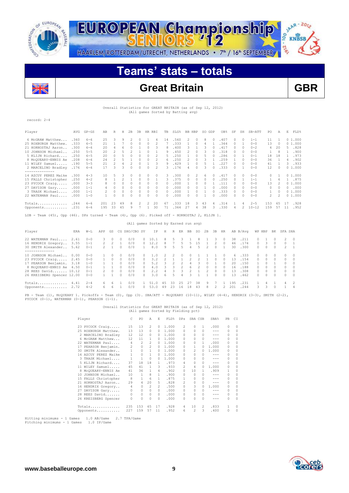



# **Teams' stats – totals**



## **Great Britain GBR**

 Overall Statistics for GREAT BRITAIN (as of Sep 12, 2012) (All games Sorted by Batting avg)

#### record: 2-4

| Player                                                                                        | AVG  | $GP - GS$ | AB            | R              | Н  | 2B       | 3B       |          | HR RBI         | TB       | SLG% | BB. | HBP           | SO. | GDP | OB%  | SF             | SH       | SB-ATT    | PO             | Α             | E        | FLD%   |
|-----------------------------------------------------------------------------------------------|------|-----------|---------------|----------------|----|----------|----------|----------|----------------|----------|------|-----|---------------|-----|-----|------|----------------|----------|-----------|----------------|---------------|----------|--------|
| 6 McGRAW Matthew                                                                              | .360 | $6 - 6$   | 25            | 3              | 9  |          |          |          | 4              | 14       | .560 | 2.  | $\Omega$      | 8   |     | .407 |                | $\Omega$ | $1 - 1$   | 11             |               |          | 01.000 |
| 25 ROXBURGH Matthew.                                                                          | .333 | $6 - 5$   | 21            |                |    | $\Omega$ | $\Omega$ | $\Omega$ | 2              |          | .333 |     | $\Box$        | 4   |     | .364 | $\Omega$       |          | $0 - 0$   | 13             | $\Omega$      |          | 01.000 |
| 21 HORNOSTAJ Aaron                                                                            | .300 | $6 - 6$   | 20            | 4              | 6  |          |          | 0        | २              | 8        | .400 | ₹   |               | २   |     | .417 | $\mathcal{O}$  | $\Omega$ | $0 - 2$   | 4              | 20            | 5        | .828   |
| 10 JOHNSON Michael                                                                            | .250 | $5 - 5$   | 20            | 2              |    |          |          |          |                | 9        | .450 | 2.  | $\Omega$      | २   |     | .318 | $\mathcal{O}$  | $\Omega$ | $0 - 0$   |                | R             |          | .900   |
| 5 KLIJN Richard                                                                               | .250 | $6 - 5$   | 20            | 0              | 5  | n        | $\cap$   | $\Omega$ | $\mathfrak{D}$ | 5.       | .250 |     | $\mathcal{O}$ | 5   |     | .286 | $\cap$         |          | $0 - 1$   | 18             | 18            |          | .973   |
| 8 MCQUEARY-ENNIS Ae                                                                           | .208 | $6 - 6$   | 24            | 2              |    |          | 0        | $\Omega$ | 2              | Б.       | .250 | 2.  | $\Omega$      | २   |     | .259 |                | $\Omega$ | $0 - 0$   | 36             |               | 4        | .902   |
| 11 WILEY Samuel                                                                               | .190 | $5 - 5$   | 21            | $\mathfrak{D}$ |    |          |          |          |                | 9        | .429 |     | 0             | 5.  |     | .227 | $\mathcal{O}$  | $\Omega$ | $0 - 0$   | 41             |               | 3        | .933   |
| 2 MARCELINO Bradley                                                                           | .176 | $6 - 6$   | 17            | ٦              | 3  | n        | 0        | $\Omega$ | 2              | ₹        | .176 | 4   | $\cap$        | 3.  |     | .333 | $\cap$         |          | $0 - 0$   | 12             | <sup>0</sup>  |          | 01.000 |
| ---------------                                                                               |      |           |               |                |    |          |          |          |                |          |      |     |               |     |     |      |                |          |           |                |               |          |        |
| 14 AZCUY PEREZ Maike                                                                          | .300 | $4 - 3$   | 10            |                |    |          |          | 0        |                | 3        | .300 |     | 2             | 6   |     | .417 | 0              | $\Omega$ | $0 - 0$   | 0              |               |          | 01.000 |
| 15 FALLS Christopher                                                                          | .250 | $4 - 2$   | 8             |                | 2  |          | $\Omega$ | $\Omega$ |                | 3        | .375 | 0   | $\Omega$      | 0   |     | .250 | $\mathcal{O}$  |          | $1 - 1$   |                | 6             |          | .875   |
| 23 PYCOCK Craig                                                                               | .000 | $3 - 3$   |               |                |    |          |          | $\Omega$ | 0              | 0        | .000 |     | $\mathcal{O}$ | 0   |     | .111 | $\cap$         | $\Omega$ | $0 - 0$   | 13             | $\mathcal{P}$ |          | 01.000 |
| 27 DAVISON Gary                                                                               | .000 | $1 - 1$   |               | 0              | 0  | $\Omega$ | $\Omega$ | 0        | $\Omega$       | 0        | .000 | 0   | $\Omega$      |     |     | .000 | $\mathcal{O}$  | $\Omega$ | $0 - 0$   | 0              | $\Omega$      | $\Omega$ | .000   |
| 3 TRASK Michael                                                                               | .000 | $1 - 1$   | $\mathcal{L}$ | 0              | 0  | $\Omega$ | 0        | $\Omega$ | $\Omega$       | $\Omega$ | .000 |     | $\mathcal{O}$ |     |     | .333 | $\mathcal{O}$  | $\Omega$ | $0 - 0$   |                | $\cap$        |          | 01.000 |
| 22 WATERMAN Paul                                                                              | .000 | $1 - 0$   |               | O              |    |          |          | $\Omega$ | $\Omega$       | 0        | .000 | O.  |               |     |     | .000 | $\Omega$       | $\Omega$ | $0 - 0$   | $\mathfrak{D}$ | 2             |          | 01.000 |
| Totals                                                                                        | .244 | $6 - 6$   | 201           | 23             | 49 |          | 2        | 2        | 20             | 67       | .333 | 18  | 3             | 43  | 4   | .314 |                | 4        | $2 - 5$   | 153            | 65            | 17       | .928   |
| Opponents                                                                                     | .231 | 6-6       | 195           | 33             | 45 | 9        |          |          | 30             | 71       | .364 | 27  | 4             | 38  |     | .330 | $\overline{4}$ |          | $10 - 12$ | 159            | 57            | 11       | .952   |
| LOB - Team (45), Opp (46). DPs turned - Team (4), Opp (6). Picked off - HORNOSTAJ 2, KLIJN 1. |      |           |               |                |    |          |          |          |                |          |      |     |               |     |     |      |                |          |           |                |               |          |        |

(All games Sorted by Earned run avg)

| Player                     | ERA  | $W-L$   | APP           | GS            |          | CG SHO/CBO SV |        | TP.  | H  | R             | ER.           | BB | SO.           | 2B     | 3B     | HR            |     | AB B/Avq |               | WP HBP        | BK           | SFA SHA  |                |
|----------------------------|------|---------|---------------|---------------|----------|---------------|--------|------|----|---------------|---------------|----|---------------|--------|--------|---------------|-----|----------|---------------|---------------|--------------|----------|----------------|
| 22 WATERMAN Paul           | 2.61 | $0 - 0$ | २             | $\Omega$      | 0        | 0/0           | n.     | 10.1 |    |               |               |    | 8             |        | 3.     | $\mathcal{O}$ | 38  | .211     | $\Omega$      |               |              |          | $2 \quad 0$    |
| 16 HENDRIX Gregory         | 3.55 | $1 - 1$ | $\mathcal{P}$ | 2             |          | 0/0           | $\cap$ | 12.2 | 8. |               | 5.            |    | 1.5           |        |        | $\cap$        | 46  | .174     | $\mathcal{L}$ | $\mathcal{R}$ | $\cap$       |          | $0 \quad 1$    |
| 30 SMITH Alexander         | 5.62 | $0 - 1$ |               |               | $\Omega$ | 0/0           |        | 8.0  | 9  | 5             | 5.            | 4  | .5            | 2      | $\cap$ |               | 30  | .300     | $\Omega$      | $\mathcal{O}$ |              |          | $2 \quad 1$    |
|                            |      |         |               |               |          |               |        |      |    |               |               |    |               |        |        |               |     |          |               |               |              |          |                |
| 10 JOHNSON Michael         | 0.00 | $0 - 0$ |               | 0.            | $\Omega$ | 0/0           |        | 1.0  | 2  | $\mathcal{P}$ |               |    |               |        |        | $\Omega$      | 6.  | .333     | $\Omega$      | $\Omega$      |              |          | $0\qquad 0$    |
| 23 PYCOCK Craig 2.45       |      | $0 - 0$ |               | $\Omega$      | $\Omega$ | 0/0           | O.     | 3.2  |    |               |               |    | 2             |        | $\cap$ | $\cap$        | 13  | . 154    | $\cap$        | $\cap$        | $\cap$       |          | $0\quad 0$     |
| 17 PEARSON Benjamin.       | 3.18 | $1 - 0$ |               |               | $\Omega$ | 0/0           | $\cap$ | 5.2  |    |               | $\mathcal{P}$ |    | 3             | $\cap$ |        | 0             | 20  | .150     |               |               |              | O.       | $\overline{0}$ |
| 8 MCOUEARY-ENNIS Ae        | 4.50 | $0 - 1$ |               |               | $\Omega$ | 0/0           | ∩.     | 4.0  |    | ₹             | $\mathcal{D}$ | 6. | $\mathcal{D}$ | $\cap$ | $\cap$ | $\cap$        | 16  | .188     | $\cap$        | $\cap$        | $\cap$       | $\Omega$ | $\Omega$       |
| 28 REES David 10.12        |      | $0 - 1$ |               | $\mathcal{O}$ | $\Omega$ | 0/0           |        | 2.2  |    | २             |               |    |               |        | $\cap$ | $\cap$        | 1.3 | .308     | $\cap$        | $\cap$        | $\cap$       |          | $0\qquad 0$    |
| 26 KREISBERG Spencer 12.00 |      | $0 - 0$ |               |               | $\Omega$ | 0/0           | O.     | 3.0  | 6. | 5             |               |    |               |        | $\cap$ | 0             | 13  | .462     | $\Omega$      | $\cap$        | <sup>n</sup> |          | $0 \quad 0$    |
| $Totals$ 4.41              |      | $2 - 4$ | 6.            | 6.            |          | 0/0           |        | 51.0 | 45 | 33            | 25            | 27 | 38            | 9      |        |               | 195 | .231     |               |               |              |          | $\overline{2}$ |
| Opponents 2.72             |      | $4 - 2$ | 6.            | 6             |          | 0/0           | 0.     | 53.0 | 49 | 23            | 16            | 18 | 43            | 8      |        | 2             | 201 | .244     | $\mathcal{R}$ | $\mathcal{R}$ | $\cap$       |          | $\Delta$       |
|                            |      |         |               |               |          |               |        |      |    |               |               |    |               |        |        |               |     |          |               |               |              |          |                |

PB - Team (1), McQUEARY 1. Pickoffs - Team (0), Opp (3). SBA/ATT - McQUEARY (10-11), WILEY (4-4), HENDRIX (3-3), SMITH (2-2),<br>PYCOCK (0-1), WATERMAN (0-1), PEARSON (1-1).

#### Overall Statistics for GREAT BRITAIN (as of Sep 12, 2012) (All games Sorted by Fielding pct)

| Player                | C            | PO           | Α              | E.       | FLD%  | <b>DPs</b>     | SBA CSB  |          | SBA%    | PB           | C1       |
|-----------------------|--------------|--------------|----------------|----------|-------|----------------|----------|----------|---------|--------------|----------|
| 23 PYCOCK Craig       | 15           | 13           | 2              | $\Omega$ | 1,000 | 2              | 0        | 1        | .000    | 0            | 0        |
| 25 ROXBURGH Matthew.  | 13           | 13           | 0              | 0        | 1,000 | 0              | $\Omega$ | 0        | ---     | 0            | 0        |
| 2 MARCELINO Bradley   | 12           | 12           | 0              | 0        | 1,000 | 0              | $\Omega$ | $\Omega$ | $- - -$ | 0            | 0        |
| 6 McGRAW Matthew      | 12           | 11           | 1              | 0        | 1,000 | 0              | 0        | $\Omega$ | $- - -$ | 0            | $\Omega$ |
| WATERMAN Paul<br>22.2 | 4            | 2            | 2              | $\Omega$ | 1,000 | 0              | $\Omega$ | 1        | .000    | $\Omega$     | 0        |
| 17 PEARSON Benjamin.  | 2            | 0            | 2              | $\Omega$ | 1,000 | 0              |          | 0        | 1,000   | 0            | $\Omega$ |
| 30 SMTTH Alexander    | $\mathbf{1}$ | $\circ$      | $\mathbf{1}$   | 0        | 1,000 | 0              | 2        | 0        | 1,000   | 0            | 0        |
| 14 AZCUY PEREZ Maike  | 1.           | 0            | 1              | 0        | 1,000 | 0              | $\Omega$ | 0        | $- - -$ | 0            | $\Omega$ |
| 3 TRASK Michael       | 1            | $\mathbf{1}$ | 0              | 0        | 1,000 | 0              | $\Omega$ | $\Omega$ | $- - -$ | 0            | 0        |
| 5 KLIJN Richard       | 37           | 18           | 18             | 1.       | .973  | 4              | 0        | 0        | $- - -$ | 0            | 0        |
| 11 WILEY Samuel       | 45           | 41           | 1              | 3        | .933  | $\mathfrak{D}$ | 4        | 0        | 1,000   | $\Omega$     | 0        |
| 8 MCQUEARY-ENNIS Ae   | 41           | 36           | 1              | 4        | .902  | 0              | 10       |          | .909    | 1            | $\Omega$ |
| 10 JOHNSON Michael    | 10           | 1            | 8              | 1        | .900  | 0              | $\Omega$ | 0        | ---     | 0            | 0        |
| 15 FALLS Christopher  | 8            | 1            | 6              | 1.       | .875  | 1              | $\Omega$ | $\Omega$ | $- - -$ | 0            | 0        |
| HORNOSTAJ Aaron<br>21 | 29           | 4            | 20             | 5.       | .828  | 2              | 0        | 0        | $- - -$ | 0            | 0        |
| 16 HENDRIX Gregory    | 4            | 0            | $\mathfrak{D}$ | 2        | .500  | 0              | 3        | 0        | 1,000   | 0            | 0        |
| DAVISON Gary<br>27    | 0            | 0            | 0              | $\Omega$ | .000  | 0              | $\Omega$ | 0        | ---     | 0            | 0        |
| REES David<br>28      | 0            | $\circ$      | 0              | $\circ$  | .000  | 0              | 0        | $\Omega$ | $- - -$ | 0            | 0        |
| 26 KREISBERG Spencer  | 0            | 0            | 0              | 0        | .000  | 0              | 0        | $\Omega$ | ---     | 0            | 0        |
| Totals                | 235          | 153          | 65             | 17       | .928  | 4              | 10       | 2        | .833    | $\mathbf{1}$ | 0        |
| Opponents             | 227          | 159          | 57             | 11       | .952  | 6              | 2        | 3        | .400    | 0            | 0        |

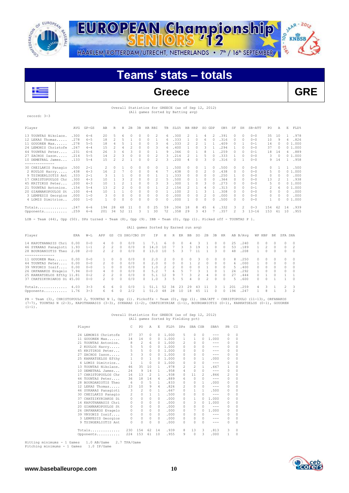

JAAR - 2012 EUROPEAN Championship 00 **KNBSB 10-2'e** HAARLEM/ROTTERDAM/UTRECHT, NETHERLANDS • 7<sup>th</sup> / 16<sup>th</sup> SEPTEMBER

# **Teams' stats – totals**



record: 3-3

## **Greece GRE**

#### Overall Statistics for GREECE (as of Sep 12, 2012) (All games Sorted by Batting avg)

| Player                                                                                                                     | AVG  | $GP - GS$ | AB             | R              |                |                |          | H 2B 3B HR RBI                       |                |                |                |                |                |                         | TB SLG% BB HBP SO GDP |                | OB%          | SF            |              | SH SB-ATT    | PO.          | Α            | E            | FLD%           |
|----------------------------------------------------------------------------------------------------------------------------|------|-----------|----------------|----------------|----------------|----------------|----------|--------------------------------------|----------------|----------------|----------------|----------------|----------------|-------------------------|-----------------------|----------------|--------------|---------------|--------------|--------------|--------------|--------------|--------------|----------------|
| 13 TOUNTAS Nikolaos.                                                                                                       | .300 | $6 - 6$   | 20             | 5              | 6              | $\Omega$       | $\Omega$ | $\Omega$                             | $\mathfrak{D}$ | 6              | .300           |                | $\mathfrak{D}$ | 1                       | 4                     | $\mathcal{L}$  | .391         | $\Omega$      | $\Omega$     | $0 - 0$      | 35           | 10           |              | 1 .978         |
| 12 LEKAS Thomas                                                                                                            | .278 | $6 - 5$   | 18             | $\mathfrak{D}$ | 5              | $\overline{1}$ | $\Omega$ | $\Omega$                             | $\mathbf{1}$   | 6              | .333           |                | 1              | $\Omega$                | 6                     | $\Omega$       | .316         | $\Omega$      | $\Omega$     | $0 - 0$      | 10           | 9            |              | 4.826          |
| 11 GOUOREN Max                                                                                                             | .278 | $5 - 5$   | 18             | $\overline{4}$ | 5              | $\overline{1}$ | $\Omega$ | $\Omega$                             | 3              | 6              | .333           |                | $\overline{c}$ | $\mathfrak{D}$          | $\mathbf{1}$          | $\mathbf{1}$   | .409         | $\mathcal{O}$ | $\mathbf{1}$ | $0 - 1$      | 14           | $\Omega$     |              | 01.000         |
| 24 LEMONIS Christofe                                                                                                       | .267 | $4 - 4$   | 15             | $\overline{2}$ | $\overline{4}$ | <sup>2</sup>   | $\Omega$ | $\Omega$                             | 3              | 6              | .400           |                | 1              | $\Omega$                | 3                     | $\overline{1}$ | .294         | 1             | $\Omega$     | $0 - 0$      | 37           | $\Omega$     |              | 01.000         |
| 44 TOUNTAS Peter                                                                                                           | .231 | $6 - 6$   | 26             | 3              | 6              | $\mathcal{B}$  | $\Omega$ | $\cap$                               | $\mathbf{1}$   | 9              | .346           |                | $\Omega$       | $\mathbf{1}$            | 8                     | $\mathbf{1}$   | .259         | $\mathcal{O}$ | $\Omega$     | $() - 1$     | 18           | 14           |              | 4.889          |
| 27 ZACHOS Iason                                                                                                            | .214 | $5 - 5$   | 14             | $\mathfrak{D}$ | 3              | $\Omega$       | $\Omega$ | $\Omega$                             | $\mathfrak{D}$ | 3              | .214           |                | $\mathfrak{D}$ | 1                       |                       | $\Omega$       | .333         | 1             | $\Omega$     | $0 - 0$      | 3            | $\Omega$     |              | 01.000         |
| 10 DEMETRAL James .133                                                                                                     |      | $5 - 4$   | 1.5            | $\mathfrak{D}$ | $\mathfrak{D}$ | $\mathbf{1}$   | $\Omega$ | $\cap$                               | $\mathfrak{D}$ | 3.             | .200           |                | 4              | $\cap$                  | 3                     | $\Omega$       | .316         | $\cap$        | 1            | $0 - 0$      | 9            | 14           |              | 1 .958         |
| --------------<br>30 CHEILAKIS Panagio                                                                                     | .500 | $2 - 1$   | 2              | $\Omega$       | 1              | $\Omega$       | $\Omega$ | $\Omega$                             | $\Omega$       | $\mathbf{1}$   | .500           |                | 0              | $\Omega$                | $\mathbf{1}$          | $\Box$         | .500         | $\mathcal{O}$ | $\Omega$     | $0 - 0$      | $\Omega$     | 1            | 1            | .500           |
| 2 KOULOS Harry                                                                                                             | .438 | $6 - 3$   | 16             | $\mathfrak{D}$ | 7              | $\Omega$       | $\Omega$ | $\cap$                               | 4              | 7              | .438           |                | $\Omega$       | $\cap$                  | $\mathfrak{D}$        | $\Omega$       | .438         | $\mathcal{O}$ | $\Omega$     | $0 - 0$      | 5            | $\Omega$     |              | 01.000         |
| 9 TSINGERLIOTIS Ant                                                                                                        | .333 | $2 - 1$   | 3              | $\mathbf{1}$   | 1              | $\Omega$       | $\Omega$ | $\Omega$                             | 1              | -1             | .333           |                | $\Omega$       | $\Omega$                | $\Omega$              | $\Omega$       | .250         | 1             | $\Omega$     | $0 - 0$      | $\Omega$     | $\Omega$     | $\cap$       | .000           |
| 17 CHRISTOPOULOS Chr                                                                                                       | .300 | $4 - 3$   | 10             | $\mathbf{1}$   | 3              | 2              | $\Omega$ | $\Omega$                             |                | 5              | .500           |                | $\Omega$       | 1                       | $\Omega$              | $\Omega$       | .364         | $\Omega$      | $\Omega$     | $0 - 0$      | 13           | 2            | $\mathbf{1}$ | .938           |
| 45 KRITIKOS Peter                                                                                                          | .200 | $6 - 3$   | 10             | $\mathbf{1}$   | $\mathcal{L}$  | $\overline{1}$ | $\Omega$ | $\Omega$                             | 3              | 3              | .300           |                | $\mathbf{1}$   | $\Omega$                | 3                     | $\Omega$       | .273         | $\Omega$      | $\Omega$     | $0 - 0$      | 5            | $\Omega$     |              | 01.000         |
| 21 TOUNTAS Antonios.                                                                                                       | .154 | $5 - 4$   | 13             | $\mathfrak{D}$ |                | $\Omega$       | $\Omega$ | $\cap$                               | $\mathbf{1}$   |                | .154           |                | 2              | $\mathbf{1}$            | $\overline{4}$        | $\Omega$       | .313         | $\mathcal{O}$ | $\Omega$     | $0 - 1$      | 2            | 6            |              | 01.000         |
| 20 GIANNAKOPOULOS St                                                                                                       | .100 | $4 - 4$   | 10             | $\mathbf{1}$   | $\overline{1}$ | $\cap$         | $\Omega$ | $\cap$                               | $\Omega$       | $\mathbf{1}$   | .100           |                | 2              | $\mathbf{1}$            | 3                     | $\mathbf{1}$   | .308         | $\Omega$      | $\cap$       | $0 - 0$      | $\Omega$     | $\Omega$     |              | 0.000          |
| 3 LEMPESIS Georgios                                                                                                        | .000 | $1 - 0$   | 3              | $\cap$         | $\cap$         | $\cap$         | $\cap$   | $\Omega$                             | $\cap$         | $\cap$         | .000           |                | $\cap$         | $\cap$                  | $\overline{c}$        | $\cap$         | .000         | $\cap$        | $\cap$       | $0 - 0$      | $\Omega$     | $\Omega$     | $\cap$       | .000           |
| 4 LOMIS Dimitrios                                                                                                          | .000 | $1 - 0$   | 1              | $\cap$         | $\cap$         | $\cap$         | $\cap$   | $\cap$                               | $\Omega$       | $\cap$         | .000           |                | $\mathbf{1}$   | $\Omega$                | $\cap$                | $\Box$         | .500         | $\cap$        | $\Omega$     | $0 - 0$      | 1            | $\Omega$     |              | 01.000         |
| $Totals$ .247                                                                                                              |      | $6 - 6$   | 194            | 28             | 48             | - 11           | $\Omega$ | $\circ$                              | 25             | 59             | .304           |                | 18             | 8                       | 4.5                   | 6              | .332         | 3             | 2            | $0 - 3$      | 154          | 62           | 14           | .939           |
| Opponents .259                                                                                                             |      | $6 - 6$   |                | 201 34 52 11   |                |                | 3        | <sup>1</sup>                         | 30             | 72             | .358           |                | 29             | 3.                      | 43                    | 7              | .357         | 2             | 3            | $13 - 16$    | 153          | 61           | 10           | .955           |
|                                                                                                                            |      |           |                |                |                |                |          |                                      |                |                |                |                |                |                         |                       |                |              |               |              |              |              |              |              |                |
| LOB - Team (44), Opp (50). DPs turned - Team (8), Opp (9). IBB - Team (0), Opp (1). Picked off - TOUNTAS P 1.              |      |           |                |                |                |                |          |                                      |                |                |                |                |                |                         |                       |                |              |               |              |              |              |              |              |                |
|                                                                                                                            |      |           |                |                |                |                |          | (All games Sorted by Earned run avg) |                |                |                |                |                |                         |                       |                |              |               |              |              |              |              |              |                |
| Player                                                                                                                     | ERA  | $W-T$     | APP            | GS             |                | CG SHO/CBO SV  |          |                                      | ΙP             | H              |                | R ER           | BB             | so                      | 2B                    | 3B             | HR           |               | AB B/Avq     | WP HBP       |              | BK           | SFA SHA      |                |
| 14 KAPOTHANASIS Chri                                                                                                       | 0.00 | $0 - 0$   | 4              | $\Omega$       | $\Omega$       | 0/0            |          | 7.1<br>$\mathbf{1}$                  |                | 6              | 0              | $\Omega$       | 4              | 3                       | $\mathbf{1}$          | $\Omega$       | $\Box$       | 2.5           | .240         | $\Omega$     | $\Omega$     | $\Omega$     | 0            | $\Omega$       |
| 46 SYKARAS Panagioti 1.93                                                                                                  |      | $1 - 1$   |                | 2              | $\Omega$       | 0/0            |          | 14.0<br>0                            |                | 10             | 7              | 3              | 3              | 19                      | 1                     | $\Omega$       | $\Omega$     | 53            | .189         | $\mathbf{1}$ | 2            | $\Omega$     | 0            | $\overline{2}$ |
| 28 BOURDANIOTIS Theo 2.08<br>--------------                                                                                |      | $2 - 0$   | $2^{\circ}$    | 2              | $\Omega$       | 0/0            |          | 13.0<br>$\Omega$                     |                | 10             | 5.             | 3              |                | 7 11                    | $\mathbf{1}$          | 3              | $\Omega$     | 48            | .208         | $\mathbf{1}$ | $\Omega$     | $\Omega$     | $\Omega$     | $\Omega$       |
| 11 GOUOREN Max                                                                                                             | 0.00 | $0 - 0$   | 1              | 0              | $\Omega$       | 0/0            |          | 0                                    | 2.0            | 2              | $\circ$        | $\circ$        | 0              | 3                       | 0                     | $\Omega$       | $\Omega$     | 8             | .250         | $\circ$      | $\circ$      | $\cap$       | $\Omega$     | $\Omega$       |
| 44 TOUNTAS Peter                                                                                                           | 0.00 | $0 - 0$   | 2              | $\Omega$       | $\Omega$       | 0/0            |          | $\mathcal{O}$                        | 2.0            | $\circ$        | $\circ$        | $\Omega$       | $\mathbf{1}$   | 2                       | $\Omega$              | $\Omega$       | $\Omega$     | 6             | .000         | $\mathbf{1}$ | $\Omega$     | $\Omega$     | $\circ$      | $\Omega$       |
| 39 VRYONIS Iosif                                                                                                           | 0.00 | $0 - 0$   | $\mathbf{1}$   | $\Omega$       | $\Omega$       | 0/0            |          | 0                                    | 1.0            | 2              | $\overline{c}$ | $\Omega$       | $\Omega$       | $\circ$                 | $\mathbf{1}$          | $\Omega$       | $\Omega$     | 5             | .400         | $\Omega$     | $\Omega$     | $\cap$       | $\Omega$     | $\cap$         |
|                                                                                                                            |      |           |                |                | $\Omega$       |                |          |                                      |                | $\overline{7}$ | 6              | 5              | 7              | $\overline{\mathbf{3}}$ | 1                     | $\Omega$       | $\mathbf{1}$ | 2.4           |              |              | $\Omega$     | $\cap$       | $\Omega$     | $\bigcap$      |
| 26 ORFANAKOS Evagelo 7.94                                                                                                  |      | $0 - 0$   | 4              | $\circ$        |                | 0/0            |          | 0                                    | 5.2            |                |                | $\overline{7}$ |                |                         |                       |                |              |               | .292         | 1            |              |              |              |                |
| 25 KARKATSELOS Efthy 11.81                                                                                                 |      | $0 - 2$   | $\mathfrak{D}$ | $\mathfrak{D}$ | $\Omega$       | 0/0            |          | $\Omega$                             | 5.1            | 12             | 9              |                | 3              | $\mathfrak{D}$          | $\overline{4}$        | $\cap$         | $\bigcap$    | 27            | .444         | $\Omega$     | $\mathbf{1}$ | $\Omega$     | 1            | $\mathbf{1}$   |
| 37 CHATZIKYRIAKOS Di 45.00                                                                                                 |      | $0 - 0$   | $\mathfrak{D}$ | $\Omega$       | $\Omega$       | 0/0            |          | 1.0<br>$\cap$                        |                | 3              | 5              | 5              | $\overline{4}$ | $\Omega$                | $\overline{c}$        | $\cap$         | $\cap$       | 5             | .600         | $\Omega$     | $\Omega$     | $\mathbf{1}$ | 1            | $\Omega$       |
| Totals 4.03                                                                                                                |      | $3 - 3$   | 6              | 6              | $\Omega$       | 0/0            |          | 51.1<br>$\mathbf{1}$                 |                | 52             | 34             | 23             | 29             | 43                      | 11                    | 3              | 1            | 201           | .259         | 4            | 3            | $\mathbf{1}$ | 2            | 3              |
| Opponents 1.76                                                                                                             |      | $3 - 3$   | 6              | 6              | $\Omega$       | 2/2            |          | 1 51.0 48 28 10                      |                |                |                |                | 18             | 45 11                   |                       | $\Omega$       | 0            | 194           | .247         | 1            | 8            | 1            | 3            | $\mathcal{D}$  |
| no music (3) cuntementative a methimae at 1 exp. (1) highligh music (8) exp. (1) ena/amm cuntementative (11/13) enmanation |      |           |                |                |                |                |          |                                      |                |                |                |                |                |                         |                       |                |              |               |              |              |              |              |              |                |

PB - Team (3), CHRISTOPOULO 2, TOUNTAS N 1, Opp (1). Pickoffs - Team (0), Opp (1). SBA/ATT - CHRISTOPOULO (11-13), ORFANAKOS<br>(7-7), TOUNTAS N (2-3), KAPOTHANASIS (3-3), SYKARAS (1-2), CHATZIKYRIAK (1-1), BOURDANIOTIS (0-1)

## Overall Statistics for GREECE (as of Sep 12, 2012) (All games Sorted by Fielding pct)

| Player               | C              | PO             | Α            | Ε  | FLD%  | <b>DPs</b>   | SBA CSB      |               | SBA%                                                                                                                                                                                                                                                                                                                                                                                         | PB | C1 |
|----------------------|----------------|----------------|--------------|----|-------|--------------|--------------|---------------|----------------------------------------------------------------------------------------------------------------------------------------------------------------------------------------------------------------------------------------------------------------------------------------------------------------------------------------------------------------------------------------------|----|----|
| 24 LEMONIS Christofe | 37             | 37             | 0            | 0. | 1,000 | 5            | 0            | 0             | $- - -$                                                                                                                                                                                                                                                                                                                                                                                      | 0  | 0  |
| 11 GOUOREN Max       | 14             | 14             | 0            | 0  | 1,000 | $\mathbf{1}$ | 1            | 0             | 1,000                                                                                                                                                                                                                                                                                                                                                                                        | 0  | 0  |
| 21 TOUNTAS Antonios. | 8              | 2              | 6            | 0  | 1,000 | 2            | 0            | $\Omega$      | $---$                                                                                                                                                                                                                                                                                                                                                                                        | 0  | 0  |
| 2 KOULOS Harry       | 5              | 5              | $\circ$      | 0  | 1,000 | 0            | 0            | <sup>0</sup>  | ---                                                                                                                                                                                                                                                                                                                                                                                          | 0  | 0  |
| 45 KRITIKOS Peter    | 5              | 5              | 0            | 0  | 1,000 | $\Omega$     | 0            | 0             | ---                                                                                                                                                                                                                                                                                                                                                                                          | 0  | 0  |
| 27 ZACHOS Iason      | 3              | $\overline{3}$ | $\circ$      | 0  | 1,000 | $\Omega$     | 0            | $\Omega$      | $- - -$                                                                                                                                                                                                                                                                                                                                                                                      | 0  | 0  |
| 25 KARKATSELOS Efthy | 1              | 0              | $\mathbf{1}$ | 0  | 1,000 | 0            | 0            | 1             | .000                                                                                                                                                                                                                                                                                                                                                                                         | 0  | 0  |
| 4 LOMIS Dimitrios    | 1              | $\mathbf{1}$   | 0            | 0  | 1,000 | 0            | $\Omega$     | 0             | $\frac{1}{2} \frac{1}{2} \frac{1}{2} \frac{1}{2} \frac{1}{2} \frac{1}{2} \frac{1}{2} \frac{1}{2} \frac{1}{2} \frac{1}{2} \frac{1}{2} \frac{1}{2} \frac{1}{2} \frac{1}{2} \frac{1}{2} \frac{1}{2} \frac{1}{2} \frac{1}{2} \frac{1}{2} \frac{1}{2} \frac{1}{2} \frac{1}{2} \frac{1}{2} \frac{1}{2} \frac{1}{2} \frac{1}{2} \frac{1}{2} \frac{1}{2} \frac{1}{2} \frac{1}{2} \frac{1}{2} \frac{$ | 0  | 0  |
| 13 TOUNTAS Nikolaos. | 46             | 35             | 10           | 1. | .978  | 2            | 2            | 1             | .667                                                                                                                                                                                                                                                                                                                                                                                         | 1  | 0  |
| 10 DEMETRAL James    | 24             | 9              | 14           | 1. | .958  | 4            | 0            | 0             | $---$                                                                                                                                                                                                                                                                                                                                                                                        | 0  | 0  |
| 17 CHRISTOPOULOS Chr | 16             | 13             | 2            | 1. | .938  | 0            | 11           | 2             | .846                                                                                                                                                                                                                                                                                                                                                                                         | 2  | 0  |
| 44 TOUNTAS Peter     | 36             | 18             | 14           | 4  | .889  | 6            | $\Omega$     | 0             | $\sim$ $\sim$ $\sim$                                                                                                                                                                                                                                                                                                                                                                         | 0  | 0  |
| 28 BOURDANIOTIS Theo | 6              | 0              | 5            | 1. | .833  | $\Omega$     | 0            | $\mathbf{1}$  | .000                                                                                                                                                                                                                                                                                                                                                                                         | 0  | 0  |
| 12 LEKAS Thomas      | 23             | 10             | 9            | 4  | .826  | 2            | 0            | 0             | $\sim$ $\sim$ $\sim$                                                                                                                                                                                                                                                                                                                                                                         | 0  | 0  |
| 46 SYKARAS Panagioti | 3              | 2              | $\Omega$     | 1. | .667  | 0            | 1            | 1.            | .500                                                                                                                                                                                                                                                                                                                                                                                         | 0  | 0  |
| 30 CHEILAKIS Panagio | $\overline{c}$ | $\Omega$       | 1            | 1. | .500  | $\Omega$     | 0            | 0             | $- - -$                                                                                                                                                                                                                                                                                                                                                                                      | 0  | 0  |
| 37 CHATZIKYRIAKOS Di | 0              | $\Omega$       | $\Omega$     | 0  | .000  | $\circ$      | $\mathbf{1}$ | $\Omega$      | 1,000                                                                                                                                                                                                                                                                                                                                                                                        | 0  | 0  |
| 14 KAPOTHANASIS Chri | 0              | $\Omega$       | $\Omega$     | 0  | .000  | $\Omega$     | 3            | 0             | 1,000                                                                                                                                                                                                                                                                                                                                                                                        | 0  | 0  |
| 20 GIANNAKOPOULOS St | 0              | $\Omega$       | $\Omega$     | 0  | .000  | $\Omega$     | 0            | 0             | $\frac{1}{2} \frac{1}{2} \frac{1}{2} \frac{1}{2} \frac{1}{2} \frac{1}{2} \frac{1}{2} \frac{1}{2} \frac{1}{2} \frac{1}{2} \frac{1}{2} \frac{1}{2} \frac{1}{2} \frac{1}{2} \frac{1}{2} \frac{1}{2} \frac{1}{2} \frac{1}{2} \frac{1}{2} \frac{1}{2} \frac{1}{2} \frac{1}{2} \frac{1}{2} \frac{1}{2} \frac{1}{2} \frac{1}{2} \frac{1}{2} \frac{1}{2} \frac{1}{2} \frac{1}{2} \frac{1}{2} \frac{$ | 0  | 0  |
| 26 ORFANAKOS Evagelo | 0              | $\Omega$       | 0            | 0  | .000  | $\circ$      | 7            | $\Omega$      | 1,000                                                                                                                                                                                                                                                                                                                                                                                        | 0  | 0  |
| 39 VRYONIS Iosif     | 0              | 0              | 0            | 0  | .000  | $\Omega$     | 0            | $\mathcal{O}$ | $\frac{1}{2} \frac{1}{2} \frac{1}{2} \frac{1}{2} \frac{1}{2} \frac{1}{2} \frac{1}{2} \frac{1}{2} \frac{1}{2} \frac{1}{2} \frac{1}{2} \frac{1}{2} \frac{1}{2} \frac{1}{2} \frac{1}{2} \frac{1}{2} \frac{1}{2} \frac{1}{2} \frac{1}{2} \frac{1}{2} \frac{1}{2} \frac{1}{2} \frac{1}{2} \frac{1}{2} \frac{1}{2} \frac{1}{2} \frac{1}{2} \frac{1}{2} \frac{1}{2} \frac{1}{2} \frac{1}{2} \frac{$ | 0  | 0  |
| 3 LEMPESIS Georgios  | 0              | $\Omega$       | $\Omega$     | 0  | .000  | $\Omega$     | $\Omega$     | O.            | ---                                                                                                                                                                                                                                                                                                                                                                                          | 0  | 0  |
| 9 TSINGERLIOTIS Ant  | 0              | $\Omega$       | $\Omega$     | 0  | .000  | 0            | $\Omega$     | $\Omega$      | $- - -$                                                                                                                                                                                                                                                                                                                                                                                      | 0  | 0  |
| Totals               | 230            | 154            | 62           | 14 | .939  | 8            | 13           | 3             | .813                                                                                                                                                                                                                                                                                                                                                                                         | 3  | 0  |
| Opponents            | 224            | 153            | 61           | 10 | .955  | 9            | $\Omega$     | 3             | .000                                                                                                                                                                                                                                                                                                                                                                                         | 1  | 0  |
|                      |                |                |              |    |       |              |              |               |                                                                                                                                                                                                                                                                                                                                                                                              |    |    |

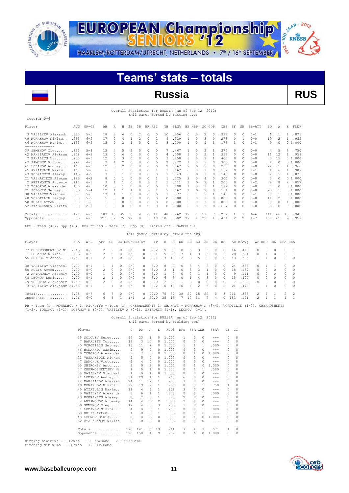

record: 0-6

**SAAR-2012** EUROPEAN Championship oo **KNBSB** -216 HAARLEM/ROTTERDAM/UTRECHT, NETHERLANDS • 7<sup>th</sup> / 16<sup>th</sup> SEPTEMBER

# **Teams' stats – totals**

## **Russia RUS**

## Overall Statistics for RUSSIA (as of Sep 12, 2012) (All games Sorted by Batting avg)

| Player               | AVG   | $GP - GS$ | AB  | R            | Н  | 2B       | 3B       | HR RBI   |                          | TB       | SLG% | BB. | HBP      | SO.           | GDP | OB%  | SF       | SH       | SB-ATT  | PO.                      | Α                        | E  | FLD%   |
|----------------------|-------|-----------|-----|--------------|----|----------|----------|----------|--------------------------|----------|------|-----|----------|---------------|-----|------|----------|----------|---------|--------------------------|--------------------------|----|--------|
| 3 VASILYEV Alexandr  | .333  | $5 - 5$   | 18  | 3            | 6  | $\cap$   |          | n        | $\Omega$                 | 10       | .556 |     | 0        | $\mathcal{P}$ |     | .333 | $\Omega$ | n        | $1 - 1$ | 6                        |                          |    | .875   |
| 49 MONAKHOV Nikita.  | .235  | $6 - 5$   | 17  | 2            | 4  |          | 2        | $\circ$  | 2                        | 9        | .529 |     | $\Omega$ | 3             |     | .278 | $\Omega$ |          | $0 - 0$ | 19                       | $\overline{\phantom{a}}$ |    | .955   |
| 46 MONAKHOV Maxim    | .133  | $6 - 5$   | 15  | $\Omega$     | 2  |          | $\Omega$ | 0        | $\overline{\mathcal{L}}$ | 3        | .200 |     | $\Omega$ | 4             |     | .176 |          | n        | $1 - 1$ | 9                        | 0                        |    | 01.000 |
| 39 SEMENOV Oleg      | .333  | $5 - 4$   | 15  | 4            | 5  |          |          |          | 0                        |          | .467 |     | 0        |               |     | .375 | $\Omega$ | n        | $0 - 0$ |                          | 5                        | 3. | .750   |
| 42 MAKSIAKOV Aleksan | .308  | $6 - 3$   | 13  | 0            |    | 0        |          | 0        | 3                        | 4        | .308 |     | $\cap$   |               |     | .357 | $\cap$   | n        | $0 - 0$ | 11                       | 12                       |    | .958   |
| 7 BAKALETS Yury      | .250  | $6 - 6$   | 12  | $\Omega$     | 3  | $\Omega$ |          | 0        | 0                        | 3        | .250 | ٩   | $\Omega$ |               |     | .400 | $\Omega$ | n        | $0 - 0$ | 3.                       | 15                       |    | 01.000 |
| 47 SAMCHUK Victor    | .222  | $4 - 3$   | 9   |              |    | $\Omega$ |          | n        | 0                        |          | .222 |     |          |               |     | .300 | n        | n        | $0 - 0$ | 4                        | $\Omega$                 |    | 01.000 |
| 41 LOBANOV Andrey    | .167  | $6 - 3$   | 12  | $\Omega$     |    | $\Omega$ |          | n        | O                        |          | .167 |     | $\Omega$ | 5             |     | .286 | $\cap$   | n        | $0 - 0$ | 29                       |                          |    | .968   |
| 45 AYZATULIN Maxim   | .167  | $5 - 0$   | 6   | <sup>0</sup> |    | $\Omega$ |          | $\Omega$ |                          |          | .167 |     | n        |               |     | .167 | O.       | n        | $1 - 1$ | 4                        |                          |    | .909   |
| 43 KOBRINETS Alexey. | .143  | $4 - 2$   |     |              |    | $\Omega$ |          |          | Ω                        |          | .143 |     |          | 3             |     | .143 | 0        | n        | $0 - 0$ | $\overline{\mathcal{L}}$ | 5                        |    | .875   |
| 21 VASHAKIDZE Alexan | .125  | $4 - 2$   | 8.  |              |    | $\Omega$ |          | $\cap$   |                          |          | .125 |     | n        |               |     | .300 | O.       | n        | $0 - 0$ | 5                        | $\Omega$                 |    | 01.000 |
| 2 ARTAMONOV Artemiy  | .111  | $6 - 3$   | 9   |              |    | $\Omega$ |          |          |                          |          | .111 |     | $\Omega$ |               |     | .200 | $\cap$   | n        | $2 - 2$ |                          | 8                        | 2. | .857   |
| 19 TOROPOV Alexander | .100  | $4 - 3$   | 10  |              |    | $\cap$   |          |          | O                        |          | .100 |     |          |               |     | .182 | $\cap$   | n        | $0 - 0$ |                          | $\cap$                   |    | 01.000 |
| 25 SOLOVEV Sergey    | .083  | $5 - 4$   | 12  |              |    |          |          |          |                          |          | .167 |     | $\cap$   |               |     | .154 | $\cap$   | n        | $0 - 0$ | 23                       |                          |    | 01.000 |
| 38 VASILYEV Viachesl | .077  | $5 - 3$   | 13  |              |    | $\Omega$ |          |          | O                        |          | .077 |     |          | 5             |     | .143 | $\Omega$ | n        | $1 - 1$ | 0                        |                          |    | 01.000 |
| 40 VOROTILIN Sergey. | .000  | $5 - 2$   |     |              |    | $\Omega$ |          | 0        | 0                        | $\Omega$ | .000 |     |          | 3             |     | .000 | $\Omega$ | n        | $0 - 0$ | 11                       |                          |    | 01.000 |
| 50 KULTK Artem       | . 000 | $1 - 0$   |     | $\Omega$     | 0  | $\Omega$ | 0        | $\Omega$ | $\Omega$                 | $\Omega$ | .000 | O   | 0        |               |     | .000 | O.       | $\Omega$ | $0 - 0$ | 0                        | $\Omega$                 |    | .000   |
| 52 ATADZHANOV Nikita | .000  | $2 - 1$   |     | $\Omega$     |    | $\cap$   |          | U        | 0                        | $\Omega$ | .000 |     | $\cap$   |               |     | .667 | $\cap$   | n        | $0 - 0$ | 0                        | $\Omega$                 | U  | .000   |
| Totals               | .191  | $6 - 6$   | 183 | 13           | 35 | .5       |          | 0        | 11                       | 48       | .262 |     |          | 51            |     | .262 |          |          | $6 - 6$ | 141                      | 66                       | 13 | .941   |
| Opponents            | .355  | $6 - 6$   | 211 | -57          | 75 | 22       |          | 3        | 48                       | 106      | .502 | 27  |          | 25            |     | .434 |          | 2        | $4 - 7$ | 150                      | 61                       | 9  | .959   |

LOB - Team (40), Opp (48). DPs turned - Team (7), Opp (8). Picked off - SAMCHUK 1.

#### (All games Sorted by Earned run avg) Player ERA W-L APP GS CG SHO/CBO SV IP H R ER BB SO 2B 3B HR AB B/Avg WP HBP BK SFA SHA 77 CHERMOSHENTSEV Ni 7.45 0-2 2 2 0 0/0 0 9.2 19 8 8 5 3 3 0 0 46 .413 0 0 0 0 1<br>1 LOBANOV Nikita... 9.95 0-0 2 0 0 0/0 0 6.1 9 8 7 1 3 3 0 1 28 .321 0 1 0 0 1<br>55 SHIROKIY Anton... 11.57 0-1 2 1 0 0/0 0 9.1 17 16 12 3 5 6 1 LOBANOV Nikita... 9.95 0-0 2 0 0 0/0 0 6.1 9 8 7 1 3 3 0 1 28 .321 0 1 0 0 1 55 SHIROKIY Anton... 11.57 0-1 2 1 0 0/0 0 9.1 17 16 12 3 5 6 0 0 43 .395 1 1 0 2 0 --------------<br>38 VASILYEV Viachesl 0.00 0-1 1 1 0 0/0 0 5.0 8 9 0 5 4 2 0 0 24 .333 0 1 1 0 0 50 KULIK Artem...... 0.00 0-0 2 0 0 0/0 0 5.0 3 1 0 3 3 1 0 0 18 .167 0 0 0 0 0 2 ARTAMONOV Artemiy 0.00 0-0 1 0 0 0/0 0 3.0 1 0 0 2 1 1 0 0 9 .111 0 0 0 0 0 48 LEONOV Denis..... 0.00 0-1 2 1 0 0/0 0 3.0 6 3 0 1 4 3 0 0 15 .400 0 0 0 0 0 19 TOROPOV Alexander 4.50 0-0 2 0 0 0/0 0 2.0 2 2 1 3 0 0 0 0 7 .286 0 0 0 0 0 3 VASILYEV Alexandr 24.55 0-1 1 1 0 0/0 0 3.2 10 10 10 4 2 3 0 2 21 .476 1 1 0 0 0 Totals.............. 7.28 0-6 6 6 0 0/0 0 47.0 75 57 38 27 25 22 0 3 211 .355 2 4 1 2 2 Opponents........... 1.26 6-0 6 6 1 1/1 2 50.0 35 13 7 17 51 5 4 0 183 .191 2 1 1 1 1

PB - Team (1), MONAKHOV N 1. Pickoffs - Team (1), CHERMOSHENTS 1. SBA/ATT - MONAKHOV N (3-4), VOROTILIN (1-2), CHERMOSHENTS<br>(1-2), TOROPOV (1-1), LOBANOV N (0-1), VASILYEV A (0-1), SHIROKIY (1-1), LEONOV (1-1).

#### Overall Statistics for RUSSIA (as of Sep 12, 2012) (All games Sorted by Fielding pct)

|    | Player               | C            | PO.            | A                       | F.           | FLD <sup>§</sup> | DPs            | SBA CSB      |               | SBA <sup>%</sup>                                                                                                                                                                                                                                                                                                                                                                             | PB. | CT.      |
|----|----------------------|--------------|----------------|-------------------------|--------------|------------------|----------------|--------------|---------------|----------------------------------------------------------------------------------------------------------------------------------------------------------------------------------------------------------------------------------------------------------------------------------------------------------------------------------------------------------------------------------------------|-----|----------|
|    | 25 SOLOVEV Sergey    | 24           | 23             | - 1                     | 0            | 1,000            | $\mathbf{1}$   | 0            | $\mathcal{O}$ |                                                                                                                                                                                                                                                                                                                                                                                              | 0   | 0        |
|    | 7 BAKALETS Yury      | 18           | 3              | 15                      | 0            | 1,000            | $\Omega$       | 0            | $\mathcal{O}$ | $\frac{1}{2} \frac{1}{2} \frac{1}{2} \frac{1}{2} \frac{1}{2} \frac{1}{2} \frac{1}{2} \frac{1}{2} \frac{1}{2} \frac{1}{2} \frac{1}{2} \frac{1}{2} \frac{1}{2} \frac{1}{2} \frac{1}{2} \frac{1}{2} \frac{1}{2} \frac{1}{2} \frac{1}{2} \frac{1}{2} \frac{1}{2} \frac{1}{2} \frac{1}{2} \frac{1}{2} \frac{1}{2} \frac{1}{2} \frac{1}{2} \frac{1}{2} \frac{1}{2} \frac{1}{2} \frac{1}{2} \frac{$ | 0   | 0        |
|    | 40 VOROTILIN Sergey. | 13           | 11             | 2                       | 0.           | 1,000            | $\mathbf{1}$   | $\mathbf{1}$ | $\mathbf{1}$  | .500                                                                                                                                                                                                                                                                                                                                                                                         | 0   | 0        |
|    | 46 MONAKHOV Maxim    | 9            | 9              | $\circ$                 | 0            | 1,000            | $\Omega$       | $\Omega$     | $\Omega$      | $\frac{1}{2} \frac{1}{2} \frac{1}{2} \frac{1}{2} \frac{1}{2} \frac{1}{2} \frac{1}{2} \frac{1}{2} \frac{1}{2} \frac{1}{2} \frac{1}{2} \frac{1}{2} \frac{1}{2} \frac{1}{2} \frac{1}{2} \frac{1}{2} \frac{1}{2} \frac{1}{2} \frac{1}{2} \frac{1}{2} \frac{1}{2} \frac{1}{2} \frac{1}{2} \frac{1}{2} \frac{1}{2} \frac{1}{2} \frac{1}{2} \frac{1}{2} \frac{1}{2} \frac{1}{2} \frac{1}{2} \frac{$ | 0   | $\Omega$ |
|    | 19 TOROPOV Alexander | 7            | 7              | $\circ$                 | 0            | 1.000            | $\Omega$       | $\mathbf{1}$ | $\Omega$      | 1.000                                                                                                                                                                                                                                                                                                                                                                                        | 0   | 0        |
| 21 | VASHAKIDZE Alexan    | 5            | 5              | $\Omega$                | $\Omega$     | 1,000            | $\cap$         | $\Omega$     | $\cap$        | $-- -$                                                                                                                                                                                                                                                                                                                                                                                       | 0   | O        |
| 47 | SAMCHUK Victor       | 4            | $\overline{4}$ | $\circ$                 | 0            | 1.000            | $\Omega$       | $\Omega$     | $\Omega$      | $\frac{1}{2} \frac{1}{2} \frac{1}{2} \frac{1}{2} \frac{1}{2} \frac{1}{2} \frac{1}{2} \frac{1}{2} \frac{1}{2} \frac{1}{2} \frac{1}{2} \frac{1}{2} \frac{1}{2} \frac{1}{2} \frac{1}{2} \frac{1}{2} \frac{1}{2} \frac{1}{2} \frac{1}{2} \frac{1}{2} \frac{1}{2} \frac{1}{2} \frac{1}{2} \frac{1}{2} \frac{1}{2} \frac{1}{2} \frac{1}{2} \frac{1}{2} \frac{1}{2} \frac{1}{2} \frac{1}{2} \frac{$ | 0   | 0        |
| 55 | SHIROKIY Anton       | 3            | $\mathbf{0}$   | 3                       | <sup>n</sup> | 1.000            | $\Omega$       | $\mathbf{1}$ | $\Omega$      | 1.000                                                                                                                                                                                                                                                                                                                                                                                        | 0   | O        |
|    | 77 CHERMOSHENTSEV Ni | $\mathbf{1}$ | $\circ$        | $\mathbf{1}$            | 0.           | 1,000            | $\Omega$       | $\mathbf{1}$ | 1             | .500                                                                                                                                                                                                                                                                                                                                                                                         | 0   | 0        |
|    | 38 VASILYEV Viachesl | $\mathbf{1}$ | $\circ$        | 1                       | 0            | 1,000            | 0              | 0            | 0             | $\sim$ $\sim$ $\sim$                                                                                                                                                                                                                                                                                                                                                                         | 0   | 0        |
|    | 41 LOBANOV Andrey    | 31           | 29             | 1                       | 1.           | .968             | 6              | 0            | O.            | $\sim$ $\sim$ $\sim$                                                                                                                                                                                                                                                                                                                                                                         | 0   | 0        |
|    | 42 MAKSIAKOV Aleksan | 24           | 11             | 12                      | 1.           | .958             | 3              | 0            | $\Omega$      | $\frac{1}{2} \frac{1}{2} \frac{1}{2} \frac{1}{2} \frac{1}{2} \frac{1}{2} \frac{1}{2} \frac{1}{2} \frac{1}{2} \frac{1}{2} \frac{1}{2} \frac{1}{2} \frac{1}{2} \frac{1}{2} \frac{1}{2} \frac{1}{2} \frac{1}{2} \frac{1}{2} \frac{1}{2} \frac{1}{2} \frac{1}{2} \frac{1}{2} \frac{1}{2} \frac{1}{2} \frac{1}{2} \frac{1}{2} \frac{1}{2} \frac{1}{2} \frac{1}{2} \frac{1}{2} \frac{1}{2} \frac{$ | 0   | O        |
|    | 49 MONAKHOV Nikita   | 22           | 19             | $\overline{c}$          | 1.           | .955             | $\Omega$       | 3            | 1             | .750                                                                                                                                                                                                                                                                                                                                                                                         | 1   | 0        |
|    | 45 AYZATULIN Maxim   | 11           | 4              | 6                       | $\mathbf{1}$ | .909             | 3              | 0            | $\cap$        | $\frac{1}{2} \frac{1}{2} \frac{1}{2} \frac{1}{2} \frac{1}{2} \frac{1}{2} \frac{1}{2} \frac{1}{2} \frac{1}{2} \frac{1}{2} \frac{1}{2} \frac{1}{2} \frac{1}{2} \frac{1}{2} \frac{1}{2} \frac{1}{2} \frac{1}{2} \frac{1}{2} \frac{1}{2} \frac{1}{2} \frac{1}{2} \frac{1}{2} \frac{1}{2} \frac{1}{2} \frac{1}{2} \frac{1}{2} \frac{1}{2} \frac{1}{2} \frac{1}{2} \frac{1}{2} \frac{1}{2} \frac{$ | 0   | 0        |
|    | 3 VASILYEV Alexandr  | 8            | 6              | $\mathbf{1}$            | $\mathbf{1}$ | .875             | $\Omega$       | 0            | 1             | .000                                                                                                                                                                                                                                                                                                                                                                                         | 0   | O        |
|    | 43 KOBRINETS Alexey. | 8            | $\overline{2}$ | 5                       | $\mathbf{1}$ | .875             | 2              | 0            | $\Omega$      | $\frac{1}{2} \frac{1}{2} \frac{1}{2} \frac{1}{2} \frac{1}{2} \frac{1}{2} \frac{1}{2} \frac{1}{2} \frac{1}{2} \frac{1}{2} \frac{1}{2} \frac{1}{2} \frac{1}{2} \frac{1}{2} \frac{1}{2} \frac{1}{2} \frac{1}{2} \frac{1}{2} \frac{1}{2} \frac{1}{2} \frac{1}{2} \frac{1}{2} \frac{1}{2} \frac{1}{2} \frac{1}{2} \frac{1}{2} \frac{1}{2} \frac{1}{2} \frac{1}{2} \frac{1}{2} \frac{1}{2} \frac{$ | 0   | 0        |
|    | 2 ARTAMONOV Artemiv  | 14           | 4              | 8                       | 2            | .857             | $\mathfrak{D}$ | 0            | O.            | $\frac{1}{2} \left( \frac{1}{2} \right) \left( \frac{1}{2} \right) \left( \frac{1}{2} \right) \left( \frac{1}{2} \right)$                                                                                                                                                                                                                                                                    | 0   | 0        |
|    | 39 SEMENOV Oleg      | 12           | $\overline{4}$ | 5                       | 3            | .750             | $\mathbf{1}$   | 0            | $\Omega$      | $\frac{1}{2} \frac{1}{2} \frac{1}{2} \frac{1}{2} \frac{1}{2} \frac{1}{2} \frac{1}{2} \frac{1}{2} \frac{1}{2} \frac{1}{2} \frac{1}{2} \frac{1}{2} \frac{1}{2} \frac{1}{2} \frac{1}{2} \frac{1}{2} \frac{1}{2} \frac{1}{2} \frac{1}{2} \frac{1}{2} \frac{1}{2} \frac{1}{2} \frac{1}{2} \frac{1}{2} \frac{1}{2} \frac{1}{2} \frac{1}{2} \frac{1}{2} \frac{1}{2} \frac{1}{2} \frac{1}{2} \frac{$ | 0   | O        |
|    | 1 LOBANOV Nikita     | 4            | 0              | $\overline{\mathbf{3}}$ | $\mathbf{1}$ | .750             | $\Omega$       | 0            | $\mathbf{1}$  | .000                                                                                                                                                                                                                                                                                                                                                                                         | 0   | 0        |
|    | 50 KULIK Artem       | $\mathbf{1}$ | 0              | $\Omega$                | $\mathbf{1}$ | .000             | $\Omega$       | 0            | $\cap$        | $\frac{1}{2} \frac{1}{2} \frac{1}{2} \frac{1}{2} \frac{1}{2} \frac{1}{2} \frac{1}{2} \frac{1}{2} \frac{1}{2} \frac{1}{2} \frac{1}{2} \frac{1}{2} \frac{1}{2} \frac{1}{2} \frac{1}{2} \frac{1}{2} \frac{1}{2} \frac{1}{2} \frac{1}{2} \frac{1}{2} \frac{1}{2} \frac{1}{2} \frac{1}{2} \frac{1}{2} \frac{1}{2} \frac{1}{2} \frac{1}{2} \frac{1}{2} \frac{1}{2} \frac{1}{2} \frac{1}{2} \frac{$ | 0   | 0        |
|    | 48 LEONOV Denis      | 0            | $\Omega$       | $\circ$                 | $\Omega$     | .000             | $\Omega$       | $\mathbf{1}$ | $\Omega$      | 1,000                                                                                                                                                                                                                                                                                                                                                                                        | 0   | 0        |
|    | 52 ATADZHANOV Nikita | 0            | $\Omega$       | $\Omega$                | 0            | .000             | 0              | 0            | 0             | $\frac{1}{2} \frac{1}{2} \frac{1}{2} \frac{1}{2} \frac{1}{2} \frac{1}{2} \frac{1}{2} \frac{1}{2} \frac{1}{2} \frac{1}{2} \frac{1}{2} \frac{1}{2} \frac{1}{2} \frac{1}{2} \frac{1}{2} \frac{1}{2} \frac{1}{2} \frac{1}{2} \frac{1}{2} \frac{1}{2} \frac{1}{2} \frac{1}{2} \frac{1}{2} \frac{1}{2} \frac{1}{2} \frac{1}{2} \frac{1}{2} \frac{1}{2} \frac{1}{2} \frac{1}{2} \frac{1}{2} \frac{$ | 0   | 0        |
|    | Totals               | 220          | 141            | 66                      | 13           | .941             | 7              | 4            | 3             | .571                                                                                                                                                                                                                                                                                                                                                                                         | 1.  | n        |
|    | Opponents            | 220          | 150            | 61                      | 9            | .959             | 8              | 6            | 0             | 1,000                                                                                                                                                                                                                                                                                                                                                                                        | 0   | 0        |

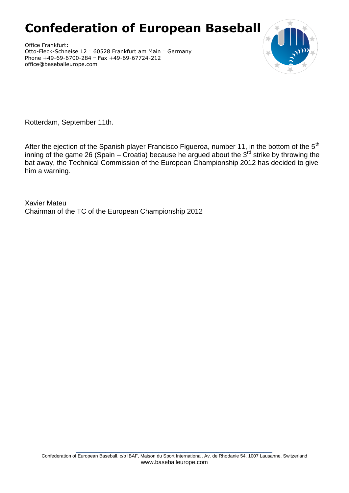# **Confederation of European Baseball**

Office Frankfurt: Otto-Fleck-Schneise 12 … 60528 Frankfurt am Main … Germany Phone +49-69-6700-284 … Fax +49-69-67724-212 office@baseballeurope.com



Rotterdam, September 11th.

After the ejection of the Spanish player Francisco Figueroa, number 11, in the bottom of the 5<sup>th</sup> inning of the game 26 (Spain – Croatia) because he argued about the  $3^{rd}$  strike by throwing the bat away, the Technical Commission of the European Championship 2012 has decided to give him a warning.

Xavier Mateu Chairman of the TC of the European Championship 2012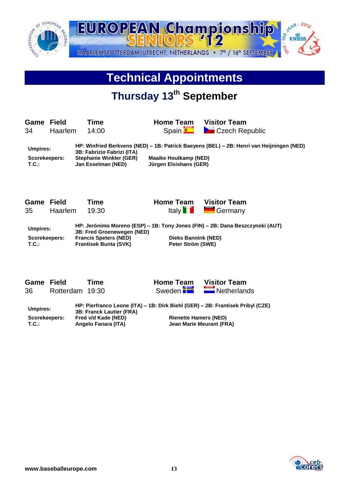

# **Technical Appointments**

# **Thursday 13th September**

**Game Field Time Home Team Visitor Team** 34 Haarlem 14:00 Spain Duncated Czech Republic

**Umpires: HP: Winfried Berkvens (NED) – 1B: Patrick Baeyens (BEL) – 2B: Henri van Heijningen (NED) 3B: Fabrizio Fabrizi (ITA) Scorekeepers: Stephanie Winkler (GER) Maaike Houtkamp (NED) T.C.: Jan Esselman (NED) Jürgen Elsishans (GER)**

**Game Field Time Home Team Visitor Team**

35 Haarlem 19:30 Italy I Hally Germany

**Umpires: HP: Jerónimo Moreno (ESP) – 1B: Tony Jones (FIN) – 2B: Dana Beszczynski (AUT) 3B: Fred Groenewegen (NED) Scorekeepers: Francis Speters (NED) Dieks Bannink (NED) T.C.: Peter Strum Frantisek Bunta (SVK)** 

**Game Field Time Home Team Visitor Team** 36 Rotterdam 19:30 Sweden Netherlands

**Umpires: HP: Pierfranco Leone (ITA) – 1B: Dirk Biehl (GER) – 2B: Frantisek Pribyl (CZE) 3B: Franck Lautier (FRA) Scorekeepers: Fred v/d Kade (NED) Rienette Hamers (NED) Jean Marie Meurant (FRA)**